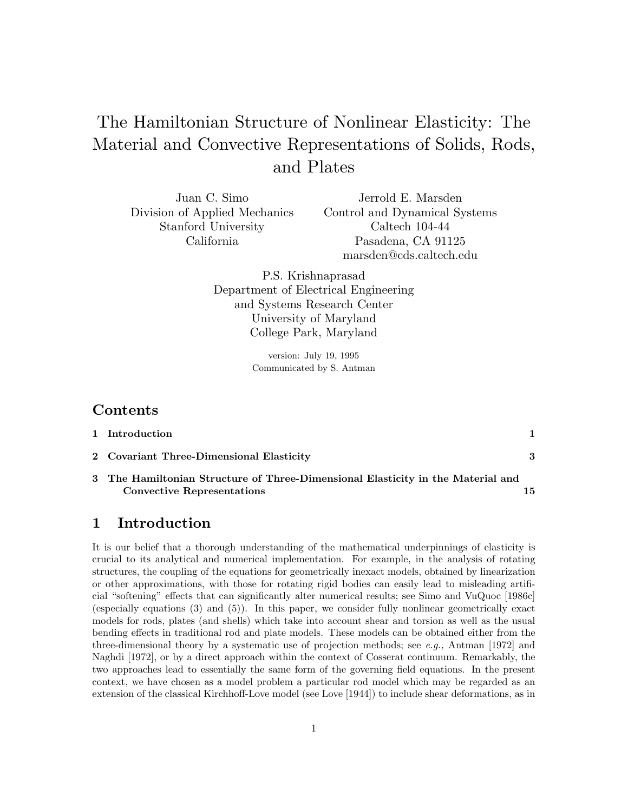# The Hamiltonian Structure of Nonlinear Elasticity: The Material and Convective Representations of Solids, Rods, and Plates

Juan C. Simo Division of Applied Mechanics Stanford University California

Jerrold E. Marsden Control and Dynamical Systems Caltech 104-44 Pasadena, CA 91125 marsden@cds.caltech.edu

P.S. Krishnaprasad Department of Electrical Engineering and Systems Research Center University of Maryland College Park, Maryland

> version: July 19, 1995 Communicated by S. Antman

# **Contents**

| 1 Introduction                                                                  |  |
|---------------------------------------------------------------------------------|--|
| 2 Covariant Three-Dimensional Elasticity                                        |  |
| 3 The Hamiltonian Structure of Three-Dimensional Elasticity in the Material and |  |

**Convective Representations 15**

#### **1 Introduction**

It is our belief that a thorough understanding of the mathematical underpinnings of elasticity is crucial to its analytical and numerical implementation. For example, in the analysis of rotating structures, the coupling of the equations for geometrically inexact models, obtained by linearization or other approximations, with those for rotating rigid bodies can easily lead to misleading artificial "softening" effects that can significantly alter numerical results; see Simo and VuQuoc [1986c] (especially equations (3) and (5)). In this paper, we consider fully nonlinear geometrically exact models for rods, plates (and shells) which take into account shear and torsion as well as the usual bending effects in traditional rod and plate models. These models can be obtained either from the three-dimensional theory by a systematic use of projection methods; see e.g., Antman [1972] and Naghdi [1972], or by a direct approach within the context of Cosserat continuum. Remarkably, the two approaches lead to essentially the same form of the governing field equations. In the present context, we have chosen as a model problem a particular rod model which may be regarded as an extension of the classical Kirchhoff-Love model (see Love [1944]) to include shear deformations, as in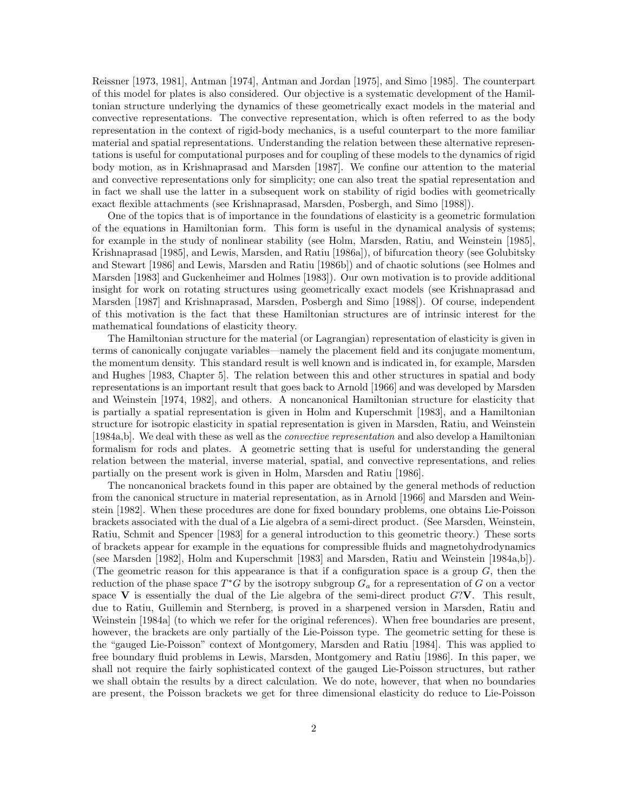Reissner [1973, 1981], Antman [1974], Antman and Jordan [1975], and Simo [1985]. The counterpart of this model for plates is also considered. Our objective is a systematic development of the Hamiltonian structure underlying the dynamics of these geometrically exact models in the material and convective representations. The convective representation, which is often referred to as the body representation in the context of rigid-body mechanics, is a useful counterpart to the more familiar material and spatial representations. Understanding the relation between these alternative representations is useful for computational purposes and for coupling of these models to the dynamics of rigid body motion, as in Krishnaprasad and Marsden [1987]. We confine our attention to the material and convective representations only for simplicity; one can also treat the spatial representation and in fact we shall use the latter in a subsequent work on stability of rigid bodies with geometrically exact flexible attachments (see Krishnaprasad, Marsden, Posbergh, and Simo [1988]).

One of the topics that is of importance in the foundations of elasticity is a geometric formulation of the equations in Hamiltonian form. This form is useful in the dynamical analysis of systems; for example in the study of nonlinear stability (see Holm, Marsden, Ratiu, and Weinstein [1985], Krishnaprasad [1985], and Lewis, Marsden, and Ratiu [1986a]), of bifurcation theory (see Golubitsky and Stewart [1986] and Lewis, Marsden and Ratiu [1986b]) and of chaotic solutions (see Holmes and Marsden [1983] and Guckenheimer and Holmes [1983]). Our own motivation is to provide additional insight for work on rotating structures using geometrically exact models (see Krishnaprasad and Marsden [1987] and Krishnaprasad, Marsden, Posbergh and Simo [1988]). Of course, independent of this motivation is the fact that these Hamiltonian structures are of intrinsic interest for the mathematical foundations of elasticity theory.

The Hamiltonian structure for the material (or Lagrangian) representation of elasticity is given in terms of canonically conjugate variables—namely the placement field and its conjugate momentum, the momentum density. This standard result is well known and is indicated in, for example, Marsden and Hughes [1983, Chapter 5]. The relation between this and other structures in spatial and body representations is an important result that goes back to Arnold [1966] and was developed by Marsden and Weinstein [1974, 1982], and others. A noncanonical Hamiltonian structure for elasticity that is partially a spatial representation is given in Holm and Kuperschmit [1983], and a Hamiltonian structure for isotropic elasticity in spatial representation is given in Marsden, Ratiu, and Weinstein [1984a,b]. We deal with these as well as the convective representation and also develop a Hamiltonian formalism for rods and plates. A geometric setting that is useful for understanding the general relation between the material, inverse material, spatial, and convective representations, and relies partially on the present work is given in Holm, Marsden and Ratiu [1986].

The noncanonical brackets found in this paper are obtained by the general methods of reduction from the canonical structure in material representation, as in Arnold [1966] and Marsden and Weinstein [1982]. When these procedures are done for fixed boundary problems, one obtains Lie-Poisson brackets associated with the dual of a Lie algebra of a semi-direct product. (See Marsden, Weinstein, Ratiu, Schmit and Spencer [1983] for a general introduction to this geometric theory.) These sorts of brackets appear for example in the equations for compressible fluids and magnetohydrodynamics (see Marsden [1982], Holm and Kuperschmit [1983] and Marsden, Ratiu and Weinstein [1984a,b]). (The geometric reason for this appearance is that if a configuration space is a group  $G$ , then the reduction of the phase space  $T^*G$  by the isotropy subgroup  $G_a$  for a representation of G on a vector space **V** is essentially the dual of the Lie algebra of the semi-direct product  $G<sup>2</sup>$ **V**. This result, due to Ratiu, Guillemin and Sternberg, is proved in a sharpened version in Marsden, Ratiu and Weinstein [1984a] (to which we refer for the original references). When free boundaries are present, however, the brackets are only partially of the Lie-Poisson type. The geometric setting for these is the "gauged Lie-Poisson" context of Montgomery, Marsden and Ratiu [1984]. This was applied to free boundary fluid problems in Lewis, Marsden, Montgomery and Ratiu [1986]. In this paper, we shall not require the fairly sophisticated context of the gauged Lie-Poisson structures, but rather we shall obtain the results by a direct calculation. We do note, however, that when no boundaries are present, the Poisson brackets we get for three dimensional elasticity do reduce to Lie-Poisson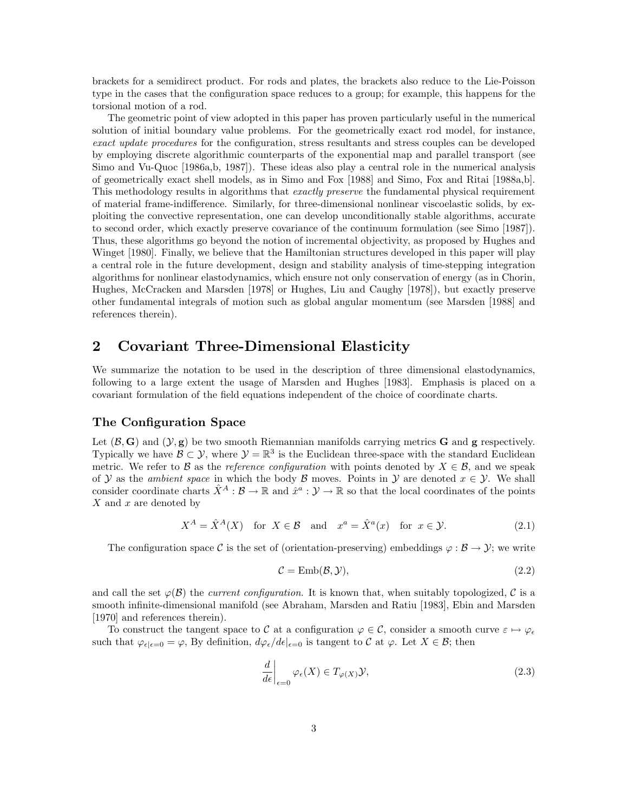brackets for a semidirect product. For rods and plates, the brackets also reduce to the Lie-Poisson type in the cases that the configuration space reduces to a group; for example, this happens for the torsional motion of a rod.

The geometric point of view adopted in this paper has proven particularly useful in the numerical solution of initial boundary value problems. For the geometrically exact rod model, for instance, exact update procedures for the configuration, stress resultants and stress couples can be developed by employing discrete algorithmic counterparts of the exponential map and parallel transport (see Simo and Vu-Quoc [1986a,b, 1987]). These ideas also play a central role in the numerical analysis of geometrically exact shell models, as in Simo and Fox [1988] and Simo, Fox and Ritai [1988a,b]. This methodology results in algorithms that *exactly preserve* the fundamental physical requirement of material frame-indifference. Similarly, for three-dimensional nonlinear viscoelastic solids, by exploiting the convective representation, one can develop unconditionally stable algorithms, accurate to second order, which exactly preserve covariance of the continuum formulation (see Simo [1987]). Thus, these algorithms go beyond the notion of incremental objectivity, as proposed by Hughes and Winget [1980]. Finally, we believe that the Hamiltonian structures developed in this paper will play a central role in the future development, design and stability analysis of time-stepping integration algorithms for nonlinear elastodynamics, which ensure not only conservation of energy (as in Chorin, Hughes, McCracken and Marsden [1978] or Hughes, Liu and Caughy [1978]), but exactly preserve other fundamental integrals of motion such as global angular momentum (see Marsden [1988] and references therein).

#### **2 Covariant Three-Dimensional Elasticity**

We summarize the notation to be used in the description of three dimensional elastodynamics, following to a large extent the usage of Marsden and Hughes [1983]. Emphasis is placed on a covariant formulation of the field equations independent of the choice of coordinate charts.

#### **The Configuration Space**

Let  $(\mathcal{B}, \mathbf{G})$  and  $(\mathcal{Y}, \mathbf{g})$  be two smooth Riemannian manifolds carrying metrics **G** and **g** respectively. Typically we have  $\mathcal{B} \subset \mathcal{Y}$ , where  $\mathcal{Y} = \mathbb{R}^3$  is the Euclidean three-space with the standard Euclidean metric. We refer to B as the reference configuration with points denoted by  $X \in \mathcal{B}$ , and we speak of Y as the *ambient space* in which the body B moves. Points in Y are denoted  $x \in Y$ . We shall consider coordinate charts  $\hat{X}^A : \mathcal{B} \to \mathbb{R}$  and  $\hat{x}^a : \mathcal{Y} \to \mathbb{R}$  so that the local coordinates of the points  $X$  and  $x$  are denoted by

$$
X^{A} = \hat{X}^{A}(X) \quad \text{for } X \in \mathcal{B} \quad \text{and} \quad x^{a} = \hat{X}^{a}(x) \quad \text{for } x \in \mathcal{Y}.
$$
 (2.1)

The configuration space C is the set of (orientation-preserving) embeddings  $\varphi : \mathcal{B} \to \mathcal{Y}$ ; we write

$$
\mathcal{C} = \text{Emb}(\mathcal{B}, \mathcal{Y}),\tag{2.2}
$$

and call the set  $\varphi(\mathcal{B})$  the *current configuration*. It is known that, when suitably topologized, C is a smooth infinite-dimensional manifold (see Abraham, Marsden and Ratiu [1983], Ebin and Marsden [1970] and references therein].

To construct the tangent space to C at a configuration  $\varphi \in C$ , consider a smooth curve  $\varepsilon \mapsto \varphi_{\varepsilon}$ such that  $\varphi_{\epsilon|\epsilon=0} = \varphi$ , By definition,  $d\varphi_{\epsilon}/d\epsilon|_{\epsilon=0}$  is tangent to C at  $\varphi$ . Let  $X \in \mathcal{B}$ ; then

$$
\left. \frac{d}{d\epsilon} \right|_{\epsilon=0} \varphi_{\epsilon}(X) \in T_{\varphi(X)} \mathcal{Y},\tag{2.3}
$$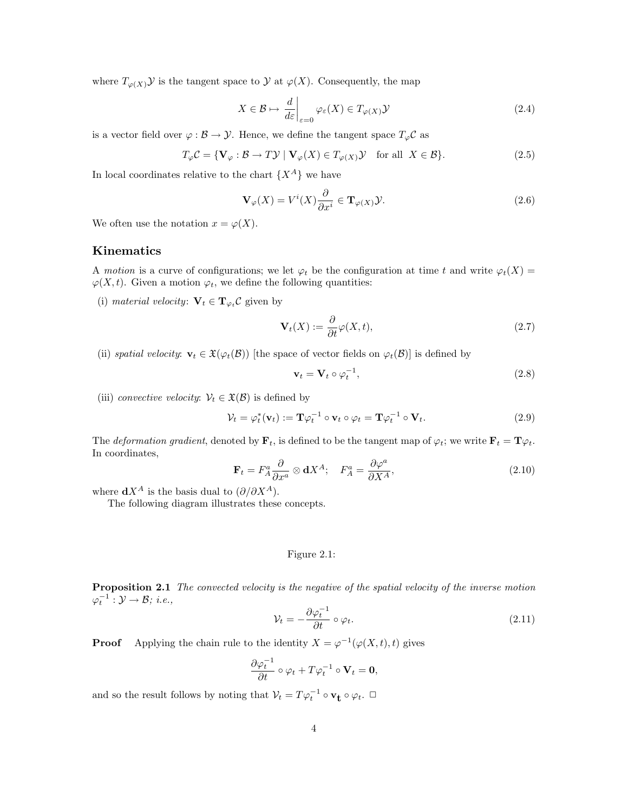where  $T_{\varphi(X)}\mathcal{Y}$  is the tangent space to  $\mathcal{Y}$  at  $\varphi(X)$ . Consequently, the map

$$
X \in \mathcal{B} \mapsto \left. \frac{d}{d\varepsilon} \right|_{\varepsilon=0} \varphi_{\varepsilon}(X) \in T_{\varphi(X)} \mathcal{Y} \tag{2.4}
$$

is a vector field over  $\varphi : \mathcal{B} \to \mathcal{Y}$ . Hence, we define the tangent space  $T_{\varphi} \mathcal{C}$  as

$$
T_{\varphi} \mathcal{C} = \{ \mathbf{V}_{\varphi} : \mathcal{B} \to T \mathcal{Y} \mid \mathbf{V}_{\varphi}(X) \in T_{\varphi(X)} \mathcal{Y} \text{ for all } X \in \mathcal{B} \}. \tag{2.5}
$$

In local coordinates relative to the chart  $\{X^A\}$  we have

$$
\mathbf{V}_{\varphi}(X) = V^{i}(X)\frac{\partial}{\partial x^{i}} \in \mathbf{T}_{\varphi(X)}\mathcal{Y}.
$$
\n(2.6)

We often use the notation  $x = \varphi(X)$ .

#### **Kinematics**

A motion is a curve of configurations; we let  $\varphi_t$  be the configuration at time t and write  $\varphi_t(X) =$  $\varphi(X, t)$ . Given a motion  $\varphi_t$ , we define the following quantities:

(i) material velocity:  $\mathbf{V}_t \in \mathbf{T}_{\varphi_t} \mathcal{C}$  given by

$$
\mathbf{V}_t(X) := \frac{\partial}{\partial t} \varphi(X, t),\tag{2.7}
$$

(ii) spatial velocity:  $\mathbf{v}_t \in \mathfrak{X}(\varphi_t(\mathcal{B}))$  [the space of vector fields on  $\varphi_t(\mathcal{B})$ ] is defined by

$$
\mathbf{v}_t = \mathbf{V}_t \circ \varphi_t^{-1},\tag{2.8}
$$

(iii) convective velocity:  $V_t \in \mathfrak{X}(\mathcal{B})$  is defined by

$$
\mathcal{V}_t = \varphi_t^*(\mathbf{v}_t) := \mathbf{T}\varphi_t^{-1} \circ \mathbf{v}_t \circ \varphi_t = \mathbf{T}\varphi_t^{-1} \circ \mathbf{V}_t.
$$
\n(2.9)

The *deformation gradient*, denoted by  $\mathbf{F}_t$ , is defined to be the tangent map of  $\varphi_t$ ; we write  $\mathbf{F}_t = \mathbf{T}\varphi_t$ . In coordinates,

$$
\mathbf{F}_t = F_A^a \frac{\partial}{\partial x^a} \otimes \mathbf{d} X^A; \quad F_A^a = \frac{\partial \varphi^a}{\partial X^A}, \tag{2.10}
$$

where  $dX^A$  is the basis dual to  $(\partial/\partial X^A)$ .

The following diagram illustrates these concepts.

#### Figure 2.1:

**Proposition 2.1** The convected velocity is the negative of the spatial velocity of the inverse motion  $\varphi_t^{-1}: \mathcal{Y} \to \mathcal{B}; i.e.,$ 

$$
\mathcal{V}_t = -\frac{\partial \varphi_t^{-1}}{\partial t} \circ \varphi_t.
$$
\n(2.11)

**Proof** Applying the chain rule to the identity  $X = \varphi^{-1}(\varphi(X,t), t)$  gives

$$
\frac{\partial \varphi_t^{-1}}{\partial t} \circ \varphi_t + T \varphi_t^{-1} \circ \mathbf{V}_t = \mathbf{0},
$$

and so the result follows by noting that  $V_t = T \varphi_t^{-1} \circ \mathbf{v}_t \circ \varphi_t$ .  $\Box$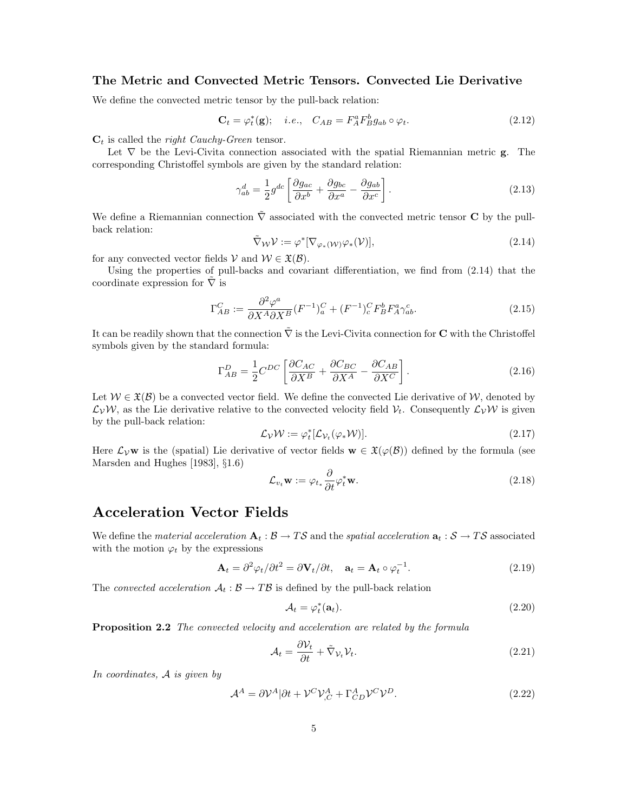#### **The Metric and Convected Metric Tensors. Convected Lie Derivative**

We define the convected metric tensor by the pull-back relation:

$$
\mathbf{C}_t = \varphi_t^*(\mathbf{g}); \quad i.e., \quad C_{AB} = F_A^a F_B^b g_{ab} \circ \varphi_t. \tag{2.12}
$$

 $C_t$  is called the *right Cauchy-Green* tensor.

Let ∇ be the Levi-Civita connection associated with the spatial Riemannian metric **g**. The corresponding Christoffel symbols are given by the standard relation:

$$
\gamma_{ab}^d = \frac{1}{2} g^{dc} \left[ \frac{\partial g_{ac}}{\partial x^b} + \frac{\partial g_{bc}}{\partial x^a} - \frac{\partial g_{ab}}{\partial x^c} \right].
$$
\n(2.13)

We define a Riemannian connection ∇˜ associated with the convected metric tensor **C** by the pullback relation:

$$
\tilde{\nabla}_{\mathcal{W}} \mathcal{V} := \varphi^* [\nabla_{\varphi_*({\mathcal{W}})} \varphi_*({\mathcal{V}})], \tag{2.14}
$$

for any convected vector fields  $V$  and  $W \in \mathfrak{X}(\mathcal{B})$ .

Using the properties of pull-backs and covariant differentiation, we find from (2.14) that the coordinate expression for  $\nabla$  is

$$
\Gamma_{AB}^C := \frac{\partial^2 \varphi^a}{\partial X^A \partial X^B} (F^{-1})_a^C + (F^{-1})_c^C F^b_B F^a_A \gamma^c_{ab}.
$$
\n(2.15)

It can be readily shown that the connection  $\tilde{\nabla}$  is the Levi-Civita connection for **C** with the Christoffel symbols given by the standard formula:

$$
\Gamma_{AB}^D = \frac{1}{2} C^{DC} \left[ \frac{\partial C_{AC}}{\partial X^B} + \frac{\partial C_{BC}}{\partial X^A} - \frac{\partial C_{AB}}{\partial X^C} \right].
$$
\n(2.16)

Let  $W \in \mathfrak{X}(\mathcal{B})$  be a convected vector field. We define the convected Lie derivative of W, denoted by  $\mathcal{L}_{\mathcal{V}}\mathcal{W}$ , as the Lie derivative relative to the convected velocity field  $\mathcal{V}_t$ . Consequently  $\mathcal{L}_{\mathcal{V}}\mathcal{W}$  is given by the pull-back relation:

$$
\mathcal{L}_{\mathcal{V}}\mathcal{W} := \varphi_t^* [\mathcal{L}_{\mathcal{V}_t}(\varphi_* \mathcal{W})]. \tag{2.17}
$$

Here  $\mathcal{L}_V$ **w** is the (spatial) Lie derivative of vector fields **w**  $\in \mathfrak{X}(\varphi(\mathcal{B}))$  defined by the formula (see Marsden and Hughes [1983], §1.6)

$$
\mathcal{L}_{v_t} \mathbf{w} := \varphi_{t_*} \frac{\partial}{\partial t} \varphi_t^* \mathbf{w}.
$$
\n(2.18)

# **Acceleration Vector Fields**

We define the *material acceleration*  $A_t : B \to TS$  and the *spatial acceleration*  $a_t : S \to TS$  associated with the motion  $\varphi_t$  by the expressions

$$
\mathbf{A}_t = \partial^2 \varphi_t / \partial t^2 = \partial \mathbf{V}_t / \partial t, \quad \mathbf{a}_t = \mathbf{A}_t \circ \varphi_t^{-1}.
$$
 (2.19)

The convected acceleration  $A_t : \mathcal{B} \to T\mathcal{B}$  is defined by the pull-back relation

$$
\mathcal{A}_t = \varphi_t^*(\mathbf{a}_t). \tag{2.20}
$$

**Proposition 2.2** The convected velocity and acceleration are related by the formula

$$
\mathcal{A}_t = \frac{\partial \mathcal{V}_t}{\partial t} + \tilde{\nabla}_{\mathcal{V}_t} \mathcal{V}_t.
$$
\n(2.21)

In coordinates, A is given by

$$
\mathcal{A}^A = \partial \mathcal{V}^A | \partial t + \mathcal{V}^C \mathcal{V}^A_{,C} + \Gamma^A_{CD} \mathcal{V}^C \mathcal{V}^D. \tag{2.22}
$$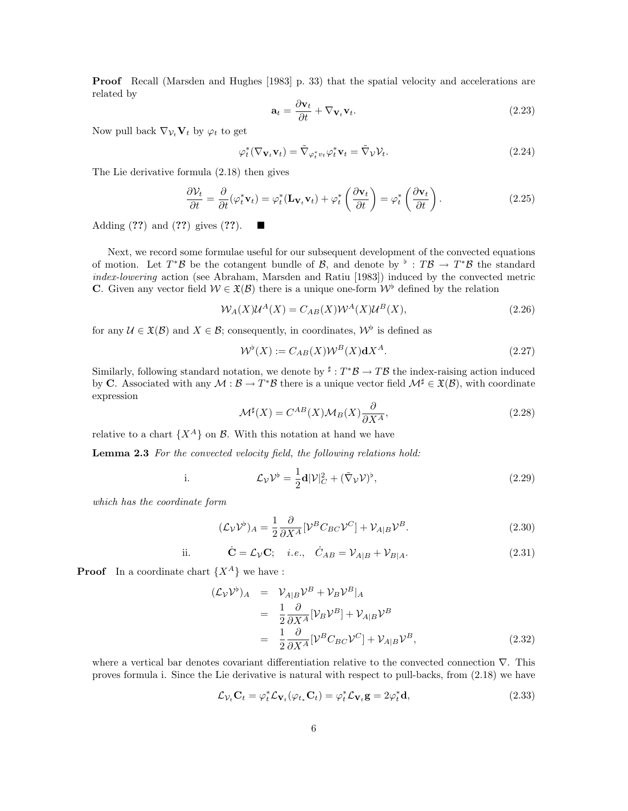**Proof** Recall (Marsden and Hughes [1983] p. 33) that the spatial velocity and accelerations are related by

$$
\mathbf{a}_t = \frac{\partial \mathbf{v}_t}{\partial t} + \nabla_{\mathbf{V}_t} \mathbf{v}_t.
$$
 (2.23)

Now pull back  $\nabla_{\mathcal{V}_t} \mathbf{V}_t$  by  $\varphi_t$  to get

$$
\varphi_t^*(\nabla_{\mathbf{V}_t} \mathbf{v}_t) = \tilde{\nabla}_{\varphi_t^* v_t} \varphi_t^* \mathbf{v}_t = \tilde{\nabla}_{\mathcal{V}} \mathcal{V}_t.
$$
\n(2.24)

The Lie derivative formula (2.18) then gives

$$
\frac{\partial V_t}{\partial t} = \frac{\partial}{\partial t} (\varphi_t^* \mathbf{v}_t) = \varphi_t^* (\mathbf{L}_{\mathbf{V}_t} \mathbf{v}_t) + \varphi_t^* \left( \frac{\partial \mathbf{v}_t}{\partial t} \right) = \varphi_t^* \left( \frac{\partial \mathbf{v}_t}{\partial t} \right).
$$
 (2.25)

Adding (**??**) and (**??**) gives (**??**).

Next, we record some formulae useful for our subsequent development of the convected equations of motion. Let  $T^*\mathcal{B}$  be the cotangent bundle of  $\mathcal{B}$ , and denote by  $\flat : T\mathcal{B} \to T^*\mathcal{B}$  the standard index-lowering action (see Abraham, Marsden and Ratiu [1983]) induced by the convected metric **C**. Given any vector field  $W \in \mathfrak{X}(B)$  there is a unique one-form  $W^{\flat}$  defined by the relation

$$
\mathcal{W}_A(X)\mathcal{U}^A(X) = C_{AB}(X)\mathcal{W}^A(X)\mathcal{U}^B(X),\tag{2.26}
$$

for any  $\mathcal{U} \in \mathfrak{X}(\mathcal{B})$  and  $X \in \mathcal{B}$ ; consequently, in coordinates,  $\mathcal{W}^{\flat}$  is defined as

$$
\mathcal{W}^{\flat}(X) := C_{AB}(X)\mathcal{W}^B(X)\mathbf{d}X^A. \tag{2.27}
$$

Similarly, following standard notation, we denote by  $\sharp : T^*B \to T\mathcal{B}$  the index-raising action induced by **C**. Associated with any  $\mathcal{M}: \mathcal{B} \to T^*\mathcal{B}$  there is a unique vector field  $\mathcal{M}^{\sharp} \in \mathfrak{X}(\mathcal{B})$ , with coordinate expression

$$
\mathcal{M}^{\sharp}(X) = C^{AB}(X)\mathcal{M}_B(X)\frac{\partial}{\partial X^A},\tag{2.28}
$$

relative to a chart  $\{X^A\}$  on  $\mathcal{B}$ . With this notation at hand we have

**Lemma 2.3** For the convected velocity field, the following relations hold:

i. 
$$
\mathcal{L}_{\mathcal{V}}\mathcal{V}^{\flat} = \frac{1}{2}\mathbf{d}|\mathcal{V}|_{C}^{2} + (\tilde{\nabla}_{\mathcal{V}}\mathcal{V})^{\flat}, \qquad (2.29)
$$

which has the coordinate form

$$
(\mathcal{L}_{\mathcal{V}}\mathcal{V}^{\flat})_A = \frac{1}{2} \frac{\partial}{\partial X^A} [\mathcal{V}^B C_{BC} \mathcal{V}^C] + \mathcal{V}_{A|B} \mathcal{V}^B.
$$
\n(2.30)

ii. 
$$
\dot{\mathbf{C}} = \mathcal{L}_{\mathcal{V}} \mathbf{C}; \quad i.e., \quad \dot{C}_{AB} = \mathcal{V}_{A|B} + \mathcal{V}_{B|A}.
$$
 (2.31)

**Proof** In a coordinate chart  $\{X^A\}$  we have :

$$
(\mathcal{L}_{\mathcal{V}}\mathcal{V}^{\flat})_A = \mathcal{V}_{A|B}\mathcal{V}^B + \mathcal{V}_B\mathcal{V}^B|_A
$$
  
=  $\frac{1}{2}\frac{\partial}{\partial X^A}[\mathcal{V}_B\mathcal{V}^B] + \mathcal{V}_{A|B}\mathcal{V}^B$   
=  $\frac{1}{2}\frac{\partial}{\partial X^A}[\mathcal{V}^B C_{BC}\mathcal{V}^C] + \mathcal{V}_{A|B}\mathcal{V}^B,$  (2.32)

where a vertical bar denotes covariant differentiation relative to the convected connection  $\nabla$ . This proves formula i. Since the Lie derivative is natural with respect to pull-backs, from (2.18) we have

$$
\mathcal{L}_{\mathcal{V}_t} \mathbf{C}_t = \varphi_t^* \mathcal{L}_{\mathbf{V}_t} (\varphi_{t_*} \mathbf{C}_t) = \varphi_t^* \mathcal{L}_{\mathbf{V}_t} \mathbf{g} = 2\varphi_t^* \mathbf{d}, \tag{2.33}
$$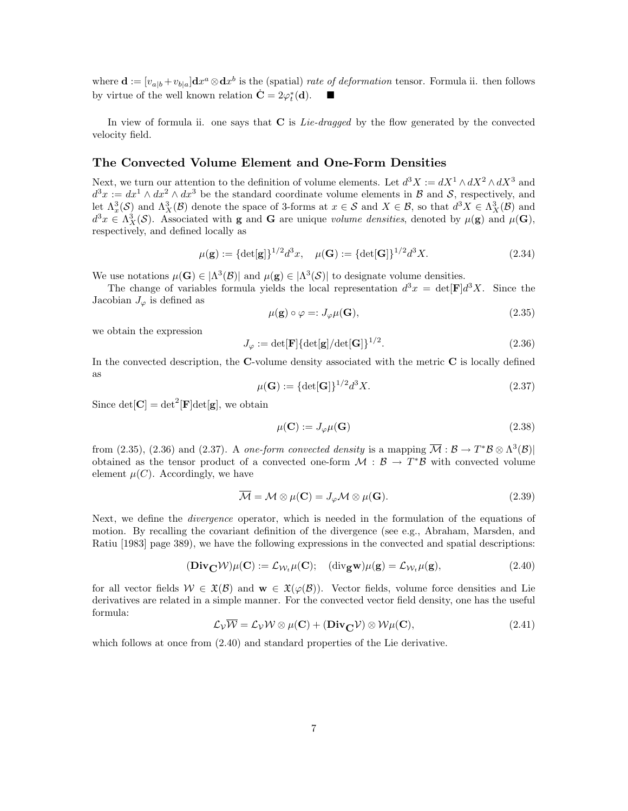where  $\mathbf{d} = [v_{a|b} + v_{b|a}] \mathbf{d}x^a \otimes \mathbf{d}x^b$  is the (spatial) rate of deformation tensor. Formula ii. then follows by virtue of the well known relation  $\dot{\mathbf{C}} = 2\varphi_t^*(\mathbf{d})$ .  $\blacksquare$ 

In view of formula ii. one says that **C** is *Lie-dragged* by the flow generated by the convected velocity field.

#### **The Convected Volume Element and One-Form Densities**

Next, we turn our attention to the definition of volume elements. Let  $d^3X := dX^1 \wedge dX^2 \wedge dX^3$  and  $d^3x := dx^1 \wedge dx^2 \wedge dx^3$  be the standard coordinate volume elements in B and S, respectively, and let  $\Lambda_x^3(\mathcal{S})$  and  $\Lambda_X^3(\mathcal{B})$  denote the space of 3-forms at  $x \in \mathcal{S}$  and  $X \in \mathcal{B}$ , so that  $d^3X \in \Lambda_X^3(\mathcal{B})$  and  $d^3x \in \Lambda_X^3(\mathcal{S})$ . Associated with **g** and **G** are unique volume densities, denoted by  $\mu(\mathbf{g})$  and  $\mu(\mathbf{G})$ , respectively, and defined locally as

$$
\mu(\mathbf{g}) := {\det[\mathbf{g}]}^{1/2} d^3 x, \quad \mu(\mathbf{G}) := {\det[\mathbf{G}]}^{1/2} d^3 X. \tag{2.34}
$$

We use notations  $\mu(\mathbf{G}) \in |\Lambda^3(\mathcal{B})|$  and  $\mu(\mathbf{g}) \in |\Lambda^3(\mathcal{S})|$  to designate volume densities.

The change of variables formula yields the local representation  $d^3x = det[\mathbf{F}]d^3X$ . Since the Jacobian  $J_{\varphi}$  is defined as

$$
\mu(\mathbf{g}) \circ \varphi =: J_{\varphi}\mu(\mathbf{G}), \tag{2.35}
$$

we obtain the expression

$$
J_{\varphi} := \det[\mathbf{F}] {\{\text{det}[\mathbf{g}] / \text{det}[\mathbf{G}]\}}^{1/2}.
$$
 (2.36)

In the convected description, the **C**-volume density associated with the metric **C** is locally defined as

$$
\mu(\mathbf{G}) := {\det[\mathbf{G}]}^{1/2} d^3 X. \tag{2.37}
$$

Since  $det[\mathbf{C}] = det^2[\mathbf{F}]det[\mathbf{g}]$ , we obtain

$$
\mu(\mathbf{C}) := J_{\varphi}\mu(\mathbf{G})\tag{2.38}
$$

from (2.35), (2.36) and (2.37). A one-form convected density is a mapping  $\overline{\mathcal{M}} : \mathcal{B} \to T^* \mathcal{B} \otimes \Lambda^3(\mathcal{B})$ obtained as the tensor product of a convected one-form  $\mathcal{M}: \mathcal{B} \to T^*\mathcal{B}$  with convected volume element  $\mu(C)$ . Accordingly, we have

$$
\overline{\mathcal{M}} = \mathcal{M} \otimes \mu(\mathbf{C}) = J_{\varphi} \mathcal{M} \otimes \mu(\mathbf{G}). \tag{2.39}
$$

Next, we define the *divergence* operator, which is needed in the formulation of the equations of motion. By recalling the covariant definition of the divergence (see e.g., Abraham, Marsden, and Ratiu [1983] page 389), we have the following expressions in the convected and spatial descriptions:

$$
(\mathbf{Div}_{\mathbf{C}} \mathcal{W})\mu(\mathbf{C}) := \mathcal{L}_{\mathcal{W}_t} \mu(\mathbf{C}); \quad (\mathrm{div}_{\mathbf{g}} \mathbf{w})\mu(\mathbf{g}) = \mathcal{L}_{\mathcal{W}_t} \mu(\mathbf{g}), \tag{2.40}
$$

for all vector fields  $W \in \mathfrak{X}(\mathcal{B})$  and  $\mathbf{w} \in \mathfrak{X}(\varphi(\mathcal{B}))$ . Vector fields, volume force densities and Lie derivatives are related in a simple manner. For the convected vector field density, one has the useful formula:

$$
\mathcal{L}_{\mathcal{V}}\overline{\mathcal{W}} = \mathcal{L}_{\mathcal{V}}\mathcal{W}\otimes\mu(\mathbf{C}) + (\mathbf{Div}_{\mathbf{C}}\mathcal{V})\otimes\mathcal{W}\mu(\mathbf{C}),
$$
\n(2.41)

which follows at once from  $(2.40)$  and standard properties of the Lie derivative.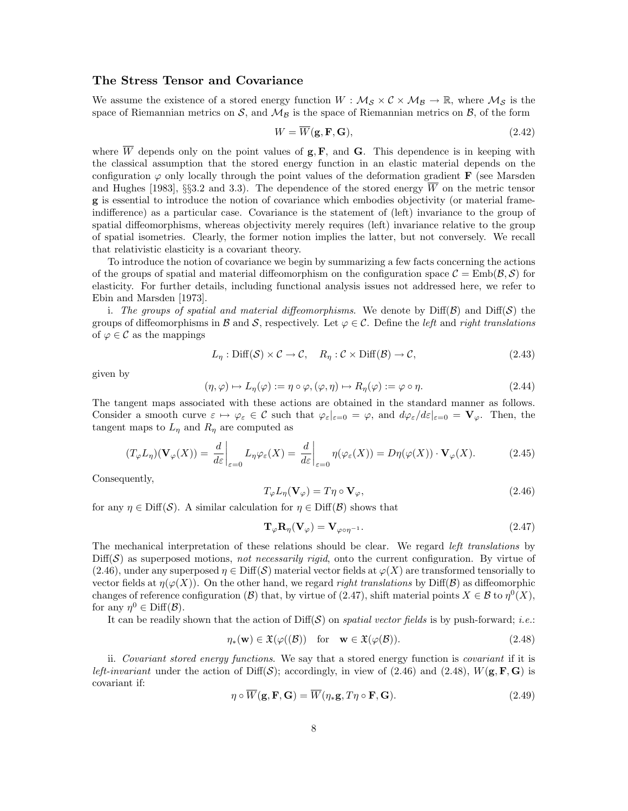#### **The Stress Tensor and Covariance**

We assume the existence of a stored energy function  $W : \mathcal{M}_{\mathcal{S}} \times \mathcal{C} \times \mathcal{M}_{\mathcal{B}} \to \mathbb{R}$ , where  $\mathcal{M}_{\mathcal{S}}$  is the space of Riemannian metrics on S, and  $\mathcal{M}_\mathcal{B}$  is the space of Riemannian metrics on  $\mathcal{B}$ , of the form

$$
W = \overline{W}(\mathbf{g}, \mathbf{F}, \mathbf{G}),\tag{2.42}
$$

where  $\overline{W}$  depends only on the point values of  $g, F$ , and **G**. This dependence is in keeping with the classical assumption that the stored energy function in an elastic material depends on the configuration  $\varphi$  only locally through the point values of the deformation gradient **F** (see Marsden and Hughes [1983], §§3.2 and 3.3). The dependence of the stored energy  $\overline{W}$  on the metric tensor **g** is essential to introduce the notion of covariance which embodies objectivity (or material frameindifference) as a particular case. Covariance is the statement of (left) invariance to the group of spatial diffeomorphisms, whereas objectivity merely requires (left) invariance relative to the group of spatial isometries. Clearly, the former notion implies the latter, but not conversely. We recall that relativistic elasticity is a covariant theory.

To introduce the notion of covariance we begin by summarizing a few facts concerning the actions of the groups of spatial and material diffeomorphism on the configuration space  $\mathcal{C} = \text{Emb}(\mathcal{B}, \mathcal{S})$  for elasticity. For further details, including functional analysis issues not addressed here, we refer to Ebin and Marsden [1973].

i. The groups of spatial and material diffeomorphisms. We denote by  $\text{Diff}(\mathcal{B})$  and  $\text{Diff}(\mathcal{S})$  the groups of diffeomorphisms in B and S, respectively. Let  $\varphi \in \mathcal{C}$ . Define the *left* and *right translations* of  $\varphi \in \mathcal{C}$  as the mappings

$$
L_{\eta} : \text{Diff}(\mathcal{S}) \times \mathcal{C} \to \mathcal{C}, \quad R_{\eta} : \mathcal{C} \times \text{Diff}(\mathcal{B}) \to \mathcal{C}, \tag{2.43}
$$

given by

$$
(\eta, \varphi) \mapsto L_{\eta}(\varphi) := \eta \circ \varphi, (\varphi, \eta) \mapsto R_{\eta}(\varphi) := \varphi \circ \eta.
$$
 (2.44)

The tangent maps associated with these actions are obtained in the standard manner as follows. Consider a smooth curve  $\varepsilon \mapsto \varphi_{\varepsilon} \in \mathcal{C}$  such that  $\varphi_{\varepsilon}|_{\varepsilon=0} = \varphi$ , and  $d\varphi_{\varepsilon}/d\varepsilon|_{\varepsilon=0} = \mathbf{V}_{\varphi}$ . Then, the tangent maps to  $L_{\eta}$  and  $R_{\eta}$  are computed as

$$
(T_{\varphi}L_{\eta})(\mathbf{V}_{\varphi}(X)) = \left. \frac{d}{d\varepsilon} \right|_{\varepsilon=0} L_{\eta} \varphi_{\varepsilon}(X) = \left. \frac{d}{d\varepsilon} \right|_{\varepsilon=0} \eta(\varphi_{\varepsilon}(X)) = D\eta(\varphi(X)) \cdot \mathbf{V}_{\varphi}(X). \tag{2.45}
$$

Consequently,

$$
T_{\varphi}L_{\eta}(\mathbf{V}_{\varphi}) = T\eta \circ \mathbf{V}_{\varphi},\tag{2.46}
$$

for any  $\eta \in \text{Diff}(\mathcal{S})$ . A similar calculation for  $\eta \in \text{Diff}(\mathcal{B})$  shows that

$$
\mathbf{T}_{\varphi}\mathbf{R}_{\eta}(\mathbf{V}_{\varphi}) = \mathbf{V}_{\varphi \circ \eta^{-1}}.
$$
\n(2.47)

The mechanical interpretation of these relations should be clear. We regard *left translations* by  $Diff(\mathcal{S})$  as superposed motions, not necessarily rigid, onto the current configuration. By virtue of  $(2.46)$ , under any superposed  $\eta \in \text{Diff}(\mathcal{S})$  material vector fields at  $\varphi(X)$  are transformed tensorially to vector fields at  $\eta(\varphi(X))$ . On the other hand, we regard *right translations* by Diff(B) as diffeomorphic changes of reference configuration (B) that, by virtue of (2.47), shift material points  $X \in \mathcal{B}$  to  $\eta^0(X)$ , for any  $\eta^0 \in \text{Diff}(\mathcal{B})$ .

It can be readily shown that the action of  $\text{Diff}(\mathcal{S})$  on spatial vector fields is by push-forward; *i.e.*:

$$
\eta_*(\mathbf{w}) \in \mathfrak{X}(\varphi((\mathcal{B})) \quad \text{for} \quad \mathbf{w} \in \mathfrak{X}(\varphi(\mathcal{B})). \tag{2.48}
$$

ii. Covariant stored energy functions. We say that a stored energy function is covariant if it is left-invariant under the action of  $Diff(S)$ ; accordingly, in view of (2.46) and (2.48),  $W(\mathbf{g}, \mathbf{F}, \mathbf{G})$  is covariant if:

$$
\eta \circ \overline{W}(\mathbf{g}, \mathbf{F}, \mathbf{G}) = \overline{W}(\eta_* \mathbf{g}, T\eta \circ \mathbf{F}, \mathbf{G}).
$$
\n(2.49)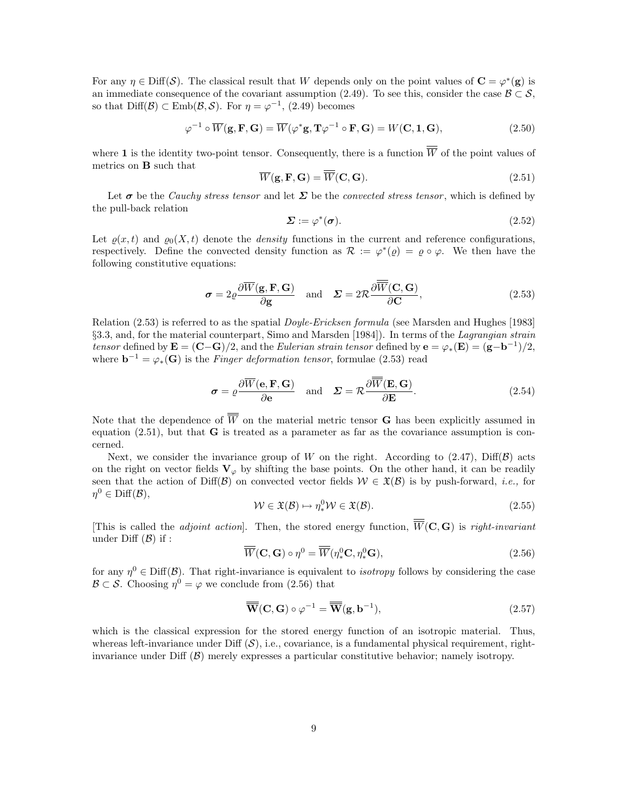For any  $\eta \in \text{Diff}(\mathcal{S})$ . The classical result that W depends only on the point values of  $\mathbf{C} = \varphi^*(\mathbf{g})$  is an immediate consequence of the covariant assumption (2.49). To see this, consider the case  $\mathcal{B} \subset \mathcal{S}$ , so that Diff( $\mathcal{B}$ ) ⊂ Emb $(\mathcal{B}, \mathcal{S})$ . For  $\eta = \varphi^{-1}$ , (2.49) becomes

$$
\varphi^{-1} \circ \overline{W}(\mathbf{g}, \mathbf{F}, \mathbf{G}) = \overline{W}(\varphi^* \mathbf{g}, \mathbf{T} \varphi^{-1} \circ \mathbf{F}, \mathbf{G}) = W(\mathbf{C}, \mathbf{1}, \mathbf{G}), \tag{2.50}
$$

where **1** is the identity two-point tensor. Consequently, there is a function  $\overline{W}$  of the point values of metrics on **B** such that

$$
\overline{W}(\mathbf{g}, \mathbf{F}, \mathbf{G}) = \overline{W}(\mathbf{C}, \mathbf{G}).
$$
\n(2.51)

Let  $\sigma$  be the *Cauchy stress tensor* and let  $\Sigma$  be the *convected stress tensor*, which is defined by the pull-back relation

$$
\Sigma := \varphi^*(\sigma). \tag{2.52}
$$

Let  $\rho(x, t)$  and  $\rho_0(X, t)$  denote the *density* functions in the current and reference configurations, respectively. Define the convected density function as  $\mathcal{R} := \varphi^*(\rho) = \rho \circ \varphi$ . We then have the following constitutive equations:

$$
\sigma = 2\varrho \frac{\partial \overline{W}(\mathbf{g}, \mathbf{F}, \mathbf{G})}{\partial \mathbf{g}} \quad \text{and} \quad \Sigma = 2\mathcal{R} \frac{\partial \overline{\overline{W}}(\mathbf{C}, \mathbf{G})}{\partial \mathbf{C}}, \tag{2.53}
$$

Relation (2.53) is referred to as the spatial *Doyle-Ericksen formula* (see Marsden and Hughes [1983] §3.3, and, for the material counterpart, Simo and Marsden [1984]). In terms of the Lagrangian strain tensor defined by  $\mathbf{E} = (\mathbf{C} - \mathbf{G})/2$ , and the Eulerian strain tensor defined by  $\mathbf{e} = \varphi_*(\mathbf{E}) = (\mathbf{g} - \mathbf{b}^{-1})/2$ , where  $\mathbf{b}^{-1} = \varphi_*(\mathbf{G})$  is the Finger deformation tensor, formulae (2.53) read

$$
\sigma = \rho \frac{\partial \overline{W}(\mathbf{e}, \mathbf{F}, \mathbf{G})}{\partial \mathbf{e}} \quad \text{and} \quad \Sigma = \mathcal{R} \frac{\partial \overline{\overline{W}}(\mathbf{E}, \mathbf{G})}{\partial \mathbf{E}}.
$$
 (2.54)

Note that the dependence of  $\overline{\overline{W}}$  on the material metric tensor **G** has been explicitly assumed in equation  $(2.51)$ , but that **G** is treated as a parameter as far as the covariance assumption is concerned.

Next, we consider the invariance group of W on the right. According to  $(2.47)$ , Diff(B) acts on the right on vector fields  $V_\varphi$  by shifting the base points. On the other hand, it can be readily seen that the action of Diff(B) on convected vector fields  $W \in \mathfrak{X}(B)$  is by push-forward, *i.e.*, for  $\eta^0 \in \text{Diff}(\mathcal{B}),$ 

$$
\mathcal{W} \in \mathfrak{X}(\mathcal{B}) \mapsto \eta_*^0 \mathcal{W} \in \mathfrak{X}(\mathcal{B}).\tag{2.55}
$$

[This is called the *adjoint action*]. Then, the stored energy function,  $\overline{\overline{W}}(C, G)$  is *right-invariant* under Diff  $(\mathcal{B})$  if :

$$
\overline{\overline{W}}(\mathbf{C}, \mathbf{G}) \circ \eta^0 = \overline{\overline{W}}(\eta^0_* \mathbf{C}, \eta^0_* \mathbf{G}), \qquad (2.56)
$$

for any  $\eta^0 \in \text{Diff}(\mathcal{B})$ . That right-invariance is equivalent to *isotropy* follows by considering the case  $\mathcal{B} \subset \mathcal{S}$ . Choosing  $\eta^0 = \varphi$  we conclude from (2.56) that

$$
\overline{\mathbf{W}}(\mathbf{C}, \mathbf{G}) \circ \varphi^{-1} = \overline{\mathbf{W}}(\mathbf{g}, \mathbf{b}^{-1}), \tag{2.57}
$$

which is the classical expression for the stored energy function of an isotropic material. Thus, whereas left-invariance under Diff  $(\mathcal{S})$ , i.e., covariance, is a fundamental physical requirement, rightinvariance under Diff  $(\mathcal{B})$  merely expresses a particular constitutive behavior; namely isotropy.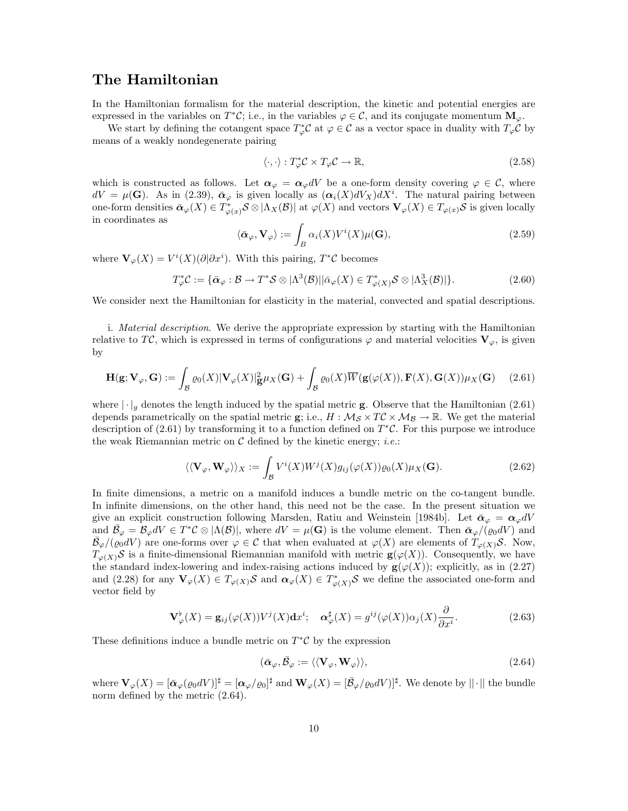### **The Hamiltonian**

In the Hamiltonian formalism for the material description, the kinetic and potential energies are expressed in the variables on  $T^*\mathcal{C}$ ; i.e., in the variables  $\varphi \in \mathcal{C}$ , and its conjugate momentum  $\mathbf{M}_{\varphi}$ .

We start by defining the cotangent space  $T^*_{\varphi}C$  at  $\varphi \in C$  as a vector space in duality with  $T_{\varphi}C$  by means of a weakly nondegenerate pairing

$$
\langle \cdot, \cdot \rangle : T_{\varphi}^* \mathcal{C} \times T_{\varphi} \mathcal{C} \to \mathbb{R}, \tag{2.58}
$$

which is constructed as follows. Let  $\alpha_{\varphi} = \alpha_{\varphi} dV$  be a one-form density covering  $\varphi \in \mathcal{C}$ , where  $dV = \mu(\mathbf{G})$ . As in (2.39),  $\bar{\boldsymbol{\alpha}}_{\varphi}$  is given locally as  $(\boldsymbol{\alpha}_i(X)dV_X)dX^i$ . The natural pairing between one-form densities  $\bar{\boldsymbol{\alpha}}_{\varphi}(X) \in T_{\varphi(x)}^* \mathcal{S} \otimes |\Lambda_X(\mathcal{B})|$  at  $\varphi(X)$  and vectors  $\mathbf{V}_{\varphi}(X) \in T_{\varphi(x)}\mathcal{S}$  is given locally in coordinates as

$$
\langle \bar{\boldsymbol{\alpha}}_{\varphi}, \mathbf{V}_{\varphi} \rangle := \int_{B} \alpha_{i}(X) V^{i}(X) \mu(\mathbf{G}), \qquad (2.59)
$$

where  $\mathbf{V}_{\varphi}(X) = V^{i}(X)(\partial \partial x^{i})$ . With this pairing,  $T^{*}\mathcal{C}$  becomes

$$
T_{\varphi}^* \mathcal{C} := \{ \bar{\boldsymbol{\alpha}}_{\varphi} : \mathcal{B} \to T^* \mathcal{S} \otimes |\Lambda^3(\mathcal{B})| |\bar{\boldsymbol{\alpha}}_{\varphi}(X) \in T_{\varphi(X)}^* \mathcal{S} \otimes |\Lambda^3_X(\mathcal{B})| \}.
$$
 (2.60)

We consider next the Hamiltonian for elasticity in the material, convected and spatial descriptions.

i. Material description. We derive the appropriate expression by starting with the Hamiltonian relative to TC, which is expressed in terms of configurations  $\varphi$  and material velocities  $V_{\varphi}$ , is given by

$$
\mathbf{H}(\mathbf{g}; \mathbf{V}_{\varphi}, \mathbf{G}) := \int_{\mathcal{B}} \varrho_0(X) |\mathbf{V}_{\varphi}(X)|^2_{\mathbf{g}} \mu_X(\mathbf{G}) + \int_{\mathcal{B}} \varrho_0(X) \overline{W}(\mathbf{g}(\varphi(X)), \mathbf{F}(X), \mathbf{G}(X)) \mu_X(\mathbf{G}) \tag{2.61}
$$

where  $|\cdot|_q$  denotes the length induced by the spatial metric **g**. Observe that the Hamiltonian (2.61) depends parametrically on the spatial metric **g**; i.e.,  $H : \mathcal{M}_{\mathcal{S}} \times T\mathcal{C} \times \mathcal{M}_{\mathcal{B}} \to \mathbb{R}$ . We get the material description of (2.61) by transforming it to a function defined on  $T^{\ast}C$ . For this purpose we introduce the weak Riemannian metric on  $\mathcal C$  defined by the kinetic energy; *i.e.*:

$$
\langle \langle \mathbf{V}_{\varphi}, \mathbf{W}_{\varphi} \rangle \rangle_{X} := \int_{\mathcal{B}} V^{i}(X) W^{j}(X) g_{ij}(\varphi(X)) \varrho_{0}(X) \mu_{X}(\mathbf{G}). \tag{2.62}
$$

In finite dimensions, a metric on a manifold induces a bundle metric on the co-tangent bundle. In infinite dimensions, on the other hand, this need not be the case. In the present situation we give an explicit construction following Marsden, Ratiu and Weinstein [1984b]. Let  $\bar{\alpha}_{\varphi} = \alpha_{\varphi} dV$ and  $\bar{\mathcal{B}}_{\varphi} = \mathcal{B}_{\varphi} dV \in T^*\mathcal{C} \otimes |\Lambda(\mathcal{B})|$ , where  $dV = \mu(\mathbf{G})$  is the volume element. Then  $\bar{\alpha}_{\varphi}/(\varrho_0 dV)$  and  $\mathcal{B}_{\varphi}/(\varrho_0 dV)$  are one-forms over  $\varphi \in \mathcal{C}$  that when evaluated at  $\varphi(X)$  are elements of  $T_{\varphi(X)}\mathcal{S}$ . Now,  $T_{\varphi(X)}\mathcal{S}$  is a finite-dimensional Riemannian manifold with metric **g**( $\varphi(X)$ ). Consequently, we have the standard index-lowering and index-raising actions induced by  $\mathbf{g}(\varphi(X))$ ; explicitly, as in (2.27) and (2.28) for any  $\mathbf{V}_{\varphi}(X) \in T_{\varphi(X)}S$  and  $\alpha_{\varphi}(X) \in T_{\varphi(X)}^*S$  we define the associated one-form and vector field by

$$
\mathbf{V}^{\flat}_{\varphi}(X) = \mathbf{g}_{ij}(\varphi(X))V^{j}(X)\mathbf{d}x^{i}; \quad \mathbf{\alpha}^{\sharp}_{\varphi}(X) = g^{ij}(\varphi(X))\alpha_{j}(X)\frac{\partial}{\partial x^{i}}.
$$
 (2.63)

These definitions induce a bundle metric on  $T^{\ast} \mathcal{C}$  by the expression

$$
(\bar{\boldsymbol{\alpha}}_{\varphi}, \bar{\mathcal{B}}_{\varphi} := \langle \langle \mathbf{V}_{\varphi}, \mathbf{W}_{\varphi} \rangle \rangle, \tag{2.64}
$$

where  $\mathbf{V}_{\varphi}(X) = [\bar{\boldsymbol{\alpha}}_{\varphi}(\varrho_0 dV)]^{\sharp} = [\boldsymbol{\alpha}_{\varphi}/\varrho_0]^{\sharp}$  and  $\mathbf{W}_{\varphi}(X) = [\bar{\mathcal{B}}_{\varphi}/\varrho_0 dV)]^{\sharp}$ . We denote by  $||\cdot||$  the bundle norm defined by the metric (2.64).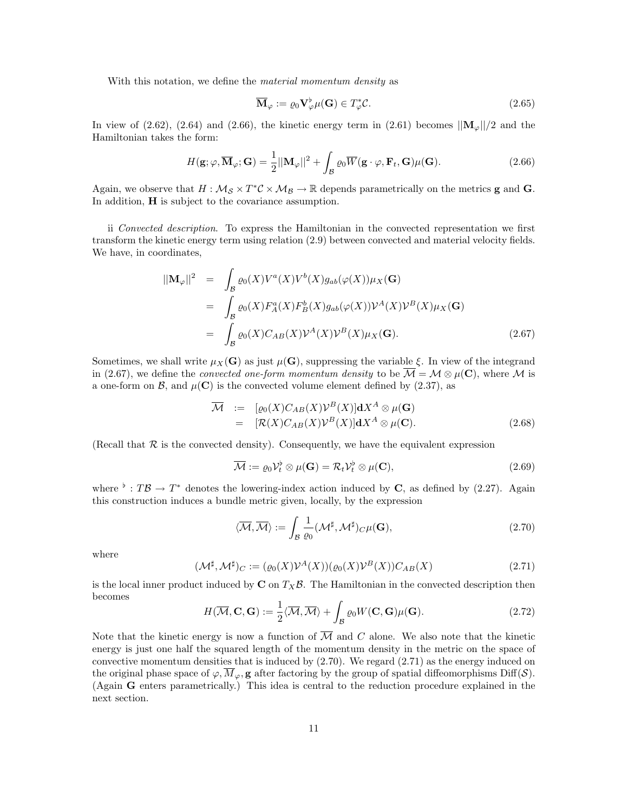With this notation, we define the *material momentum density* as

$$
\overline{\mathbf{M}}_{\varphi} := \varrho_0 \mathbf{V}_{\varphi}^{\flat} \mu(\mathbf{G}) \in T_{\varphi}^{\ast} \mathcal{C}.
$$
\n(2.65)

In view of (2.62), (2.64) and (2.66), the kinetic energy term in (2.61) becomes  $||\mathbf{M}_{\varphi}||/2$  and the Hamiltonian takes the form:

$$
H(\mathbf{g}; \varphi, \overline{\mathbf{M}}_{\varphi}; \mathbf{G}) = \frac{1}{2} ||\mathbf{M}_{\varphi}||^2 + \int_{\mathcal{B}} \varrho_0 \overline{W}(\mathbf{g} \cdot \varphi, \mathbf{F}_t, \mathbf{G}) \mu(\mathbf{G}).
$$
 (2.66)

Again, we observe that  $H : \mathcal{M}_{\mathcal{S}} \times T^*\mathcal{C} \times \mathcal{M}_{\mathcal{B}} \to \mathbb{R}$  depends parametrically on the metrics **g** and **G**. In addition, **H** is subject to the covariance assumption.

ii Convected description. To express the Hamiltonian in the convected representation we first transform the kinetic energy term using relation (2.9) between convected and material velocity fields. We have, in coordinates,

$$
\begin{split} ||\mathbf{M}_{\varphi}||^{2} &= \int_{\mathcal{B}} \varrho_{0}(X) V^{a}(X) V^{b}(X) g_{ab}(\varphi(X)) \mu_{X}(\mathbf{G}) \\ &= \int_{\mathcal{B}} \varrho_{0}(X) F_{A}^{a}(X) F_{B}^{b}(X) g_{ab}(\varphi(X)) \mathcal{V}^{A}(X) \mathcal{V}^{B}(X) \mu_{X}(\mathbf{G}) \\ &= \int_{\mathcal{B}} \varrho_{0}(X) C_{AB}(X) \mathcal{V}^{A}(X) \mathcal{V}^{B}(X) \mu_{X}(\mathbf{G}). \end{split} \tag{2.67}
$$

Sometimes, we shall write  $\mu_X(\mathbf{G})$  as just  $\mu(\mathbf{G})$ , suppressing the variable  $\xi$ . In view of the integrand in (2.67), we define the *convected one-form momentum density* to be  $\overline{\mathcal{M}} = \mathcal{M} \otimes \mu(\mathbf{C})$ , where  $\mathcal{M}$  is a one-form on  $\mathcal{B}$ , and  $\mu(\mathbf{C})$  is the convected volume element defined by (2.37), as

$$
\overline{\mathcal{M}} := [\varrho_0(X)C_{AB}(X)\mathcal{V}^B(X)]\mathbf{d}X^A \otimes \mu(\mathbf{G})
$$
  
\n
$$
= [\mathcal{R}(X)C_{AB}(X)\mathcal{V}^B(X)]\mathbf{d}X^A \otimes \mu(\mathbf{C}).
$$
 (2.68)

(Recall that  $\mathcal R$  is the convected density). Consequently, we have the equivalent expression

$$
\overline{\mathcal{M}} := \varrho_0 \mathcal{V}_t^{\flat} \otimes \mu(\mathbf{G}) = \mathcal{R}_t \mathcal{V}_t^{\flat} \otimes \mu(\mathbf{C}), \tag{2.69}
$$

where  $\flat : T\mathcal{B} \to T^*$  denotes the lowering-index action induced by **C**, as defined by (2.27). Again this construction induces a bundle metric given, locally, by the expression

$$
\langle \overline{\mathcal{M}}, \overline{\mathcal{M}} \rangle := \int_{\mathcal{B}} \frac{1}{\varrho_0} (\mathcal{M}^{\sharp}, \mathcal{M}^{\sharp})_{C} \mu(\mathbf{G}), \tag{2.70}
$$

where

$$
(\mathcal{M}^{\sharp}, \mathcal{M}^{\sharp})_C := (\varrho_0(X)\mathcal{V}^A(X))(\varrho_0(X)\mathcal{V}^B(X))C_{AB}(X)
$$
\n(2.71)

is the local inner product induced by  $C$  on  $T_X\mathcal{B}$ . The Hamiltonian in the convected description then becomes

$$
H(\overline{\mathcal{M}}, \mathbf{C}, \mathbf{G}) := \frac{1}{2} \langle \overline{\mathcal{M}}, \overline{\mathcal{M}} \rangle + \int_{\mathcal{B}} \varrho_0 W(\mathbf{C}, \mathbf{G}) \mu(\mathbf{G}).
$$
 (2.72)

Note that the kinetic energy is now a function of  $\overline{\mathcal{M}}$  and C alone. We also note that the kinetic energy is just one half the squared length of the momentum density in the metric on the space of convective momentum densities that is induced by  $(2.70)$ . We regard  $(2.71)$  as the energy induced on the original phase space of  $\varphi$ ,  $\overline{M}_{\varphi}$ , **g** after factoring by the group of spatial diffeomorphisms Diff(S). (Again **G** enters parametrically.) This idea is central to the reduction procedure explained in the next section.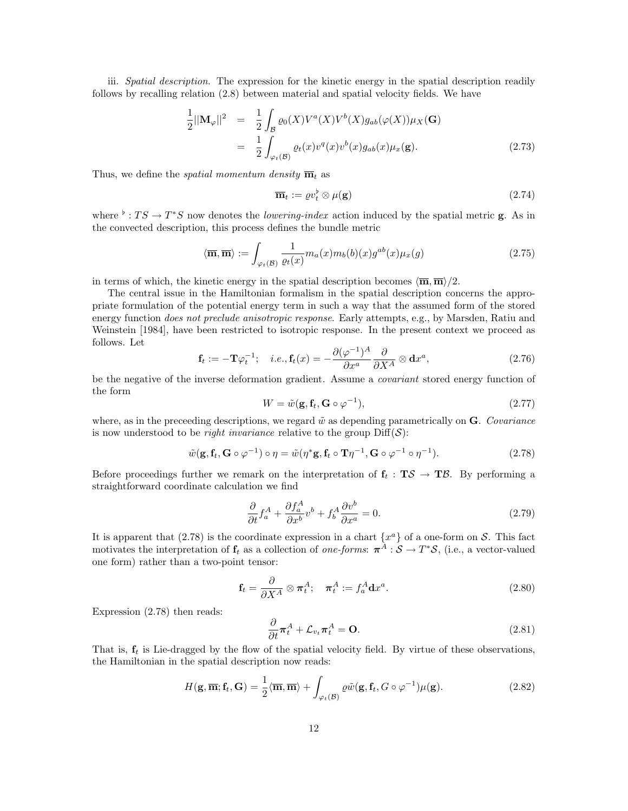iii. Spatial description. The expression for the kinetic energy in the spatial description readily follows by recalling relation (2.8) between material and spatial velocity fields. We have

$$
\frac{1}{2}||\mathbf{M}_{\varphi}||^{2} = \frac{1}{2} \int_{\mathcal{B}} \varrho_{0}(X) V^{a}(X) V^{b}(X) g_{ab}(\varphi(X)) \mu_{X}(\mathbf{G})
$$
\n
$$
= \frac{1}{2} \int_{\varphi_{t}(\mathcal{B})} \varrho_{t}(x) v^{q}(x) v^{b}(x) g_{ab}(x) \mu_{x}(\mathbf{g}). \tag{2.73}
$$

Thus, we define the *spatial momentum density*  $\overline{\mathbf{m}}_t$  as

$$
\overline{\mathbf{m}}_t := \varrho v_t^{\flat} \otimes \mu(\mathbf{g}) \tag{2.74}
$$

where <sup>b</sup>:  $TS \rightarrow T^*S$  now denotes the *lowering-index* action induced by the spatial metric **g**. As in the convected description, this process defines the bundle metric

$$
\langle \overline{\mathbf{m}}, \overline{\mathbf{m}} \rangle := \int_{\varphi_t(\mathcal{B})} \frac{1}{\varrho_t(x)} m_a(x) m_b(b)(x) g^{ab}(x) \mu_x(g) \tag{2.75}
$$

in terms of which, the kinetic energy in the spatial description becomes  $\langle \overline{m}, \overline{m} \rangle / 2$ .

The central issue in the Hamiltonian formalism in the spatial description concerns the appropriate formulation of the potential energy term in such a way that the assumed form of the stored energy function *does not preclude anisotropic response*. Early attempts, e.g., by Marsden, Ratiu and Weinstein [1984], have been restricted to isotropic response. In the present context we proceed as follows. Let

$$
\mathbf{f}_t := -\mathbf{T}\varphi_t^{-1}; \quad i.e., \mathbf{f}_t(x) = -\frac{\partial(\varphi^{-1})^A}{\partial x^a} \frac{\partial}{\partial X^A} \otimes \mathbf{d}x^a,
$$
\n(2.76)

be the negative of the inverse deformation gradient. Assume a *covariant* stored energy function of the form

$$
W = \tilde{w}(\mathbf{g}, \mathbf{f}_t, \mathbf{G} \circ \varphi^{-1}), \tag{2.77}
$$

where, as in the preceeding descriptions, we regard  $\tilde{w}$  as depending parametrically on **G**. Covariance is now understood to be *right invariance* relative to the group  $\text{Diff}(\mathcal{S})$ :

$$
\tilde{w}(\mathbf{g}, \mathbf{f}_t, \mathbf{G} \circ \varphi^{-1}) \circ \eta = \tilde{w}(\eta^* \mathbf{g}, \mathbf{f}_t \circ \mathbf{T} \eta^{-1}, \mathbf{G} \circ \varphi^{-1} \circ \eta^{-1}).
$$
\n(2.78)

Before proceedings further we remark on the interpretation of  $f_t : T\mathcal{S} \to T\mathcal{B}$ . By performing a straightforward coordinate calculation we find

$$
\frac{\partial}{\partial t} f_a^A + \frac{\partial f_a^A}{\partial x^b} v^b + f_b^A \frac{\partial v^b}{\partial x^a} = 0.
$$
\n(2.79)

It is apparent that (2.78) is the coordinate expression in a chart  $\{x^a\}$  of a one-form on S. This fact motivates the interpretation of  $f_t$  as a collection of one-forms:  $\pi^{\tilde{A}}$  :  $\mathcal{S} \to T^* \mathcal{S}$ , (i.e., a vector-valued one form) rather than a two-point tensor:

$$
\mathbf{f}_t = \frac{\partial}{\partial X^A} \otimes \boldsymbol{\pi}_t^A; \quad \boldsymbol{\pi}_t^A := f_a^A \mathbf{d} x^a.
$$
 (2.80)

Expression (2.78) then reads:

$$
\frac{\partial}{\partial t}\pi_t^A + \mathcal{L}_{v_t}\pi_t^A = \mathbf{O}.
$$
\n(2.81)

That is,  $f_t$  is Lie-dragged by the flow of the spatial velocity field. By virtue of these observations, the Hamiltonian in the spatial description now reads:

$$
H(\mathbf{g}, \overline{\mathbf{m}}; \mathbf{f}_t, \mathbf{G}) = \frac{1}{2} \langle \overline{\mathbf{m}}, \overline{\mathbf{m}} \rangle + \int_{\varphi_t(\mathcal{B})} \varrho \tilde{w}(\mathbf{g}, \mathbf{f}_t, G \circ \varphi^{-1}) \mu(\mathbf{g}). \tag{2.82}
$$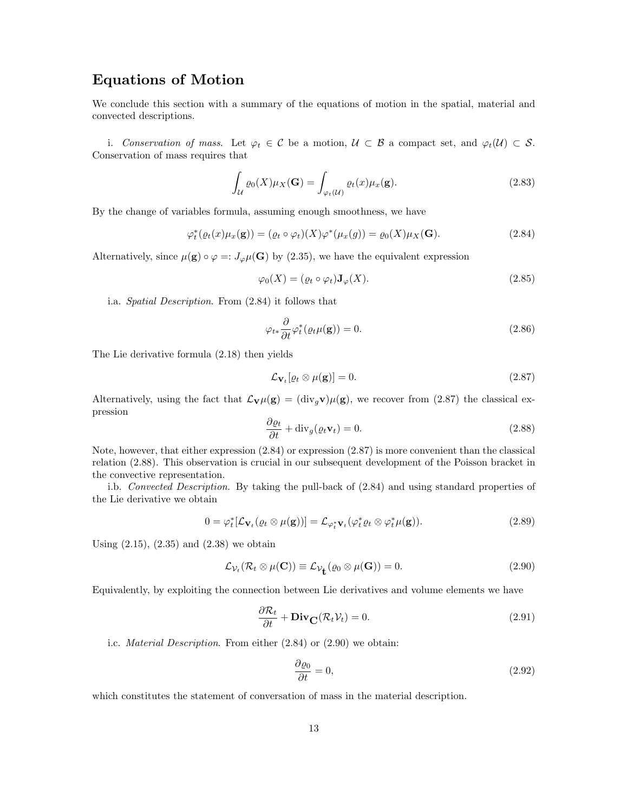# **Equations of Motion**

We conclude this section with a summary of the equations of motion in the spatial, material and convected descriptions.

i. Conservation of mass. Let  $\varphi_t \in \mathcal{C}$  be a motion,  $\mathcal{U} \subset \mathcal{B}$  a compact set, and  $\varphi_t(\mathcal{U}) \subset \mathcal{S}$ . Conservation of mass requires that

$$
\int_{\mathcal{U}} \varrho_0(X) \mu_X(\mathbf{G}) = \int_{\varphi_t(\mathcal{U})} \varrho_t(x) \mu_x(\mathbf{g}).
$$
\n(2.83)

By the change of variables formula, assuming enough smoothness, we have

$$
\varphi_t^*(\varrho_t(x)\mu_x(\mathbf{g})) = (\varrho_t \circ \varphi_t)(X)\varphi^*(\mu_x(g)) = \varrho_0(X)\mu_X(\mathbf{G}). \tag{2.84}
$$

Alternatively, since  $\mu(\mathbf{g}) \circ \varphi =: J_{\varphi}\mu(\mathbf{G})$  by (2.35), we have the equivalent expression

$$
\varphi_0(X) = (\varrho_t \circ \varphi_t) \mathbf{J}_{\varphi}(X). \tag{2.85}
$$

i.a. Spatial Description. From (2.84) it follows that

$$
\varphi_{t*} \frac{\partial}{\partial t} \varphi_t^*(\varrho_t \mu(\mathbf{g})) = 0. \tag{2.86}
$$

The Lie derivative formula (2.18) then yields

$$
\mathcal{L}_{\mathbf{V}_t}[\varrho_t \otimes \mu(\mathbf{g})] = 0. \tag{2.87}
$$

Alternatively, using the fact that  $\mathcal{L}_{\mathbf{V}}\mu(\mathbf{g}) = (\text{div}_q \mathbf{v})\mu(\mathbf{g})$ , we recover from (2.87) the classical expression

$$
\frac{\partial \varrho_t}{\partial t} + \text{div}_g(\varrho_t \mathbf{v}_t) = 0.
$$
\n(2.88)

Note, however, that either expression (2.84) or expression (2.87) is more convenient than the classical relation (2.88). This observation is crucial in our subsequent development of the Poisson bracket in the convective representation.

i.b. Convected Description. By taking the pull-back of (2.84) and using standard properties of the Lie derivative we obtain

$$
0 = \varphi_t^* [\mathcal{L}_{\mathbf{V}_t}(\varrho_t \otimes \mu(\mathbf{g}))] = \mathcal{L}_{\varphi_t^* \mathbf{V}_t}(\varphi_t^* \varrho_t \otimes \varphi_t^* \mu(\mathbf{g})). \tag{2.89}
$$

Using (2.15), (2.35) and (2.38) we obtain

$$
\mathcal{L}_{\mathcal{V}_t}(\mathcal{R}_t \otimes \mu(\mathbf{C})) \equiv \mathcal{L}_{\mathcal{V}_t}(\varrho_0 \otimes \mu(\mathbf{G})) = 0.
$$
 (2.90)

Equivalently, by exploiting the connection between Lie derivatives and volume elements we have

$$
\frac{\partial \mathcal{R}_t}{\partial t} + \mathbf{Div}_{\mathbf{C}}(\mathcal{R}_t \mathcal{V}_t) = 0.
$$
\n(2.91)

i.c. Material Description. From either (2.84) or (2.90) we obtain:

$$
\frac{\partial \varrho_0}{\partial t} = 0,\tag{2.92}
$$

which constitutes the statement of conversation of mass in the material description.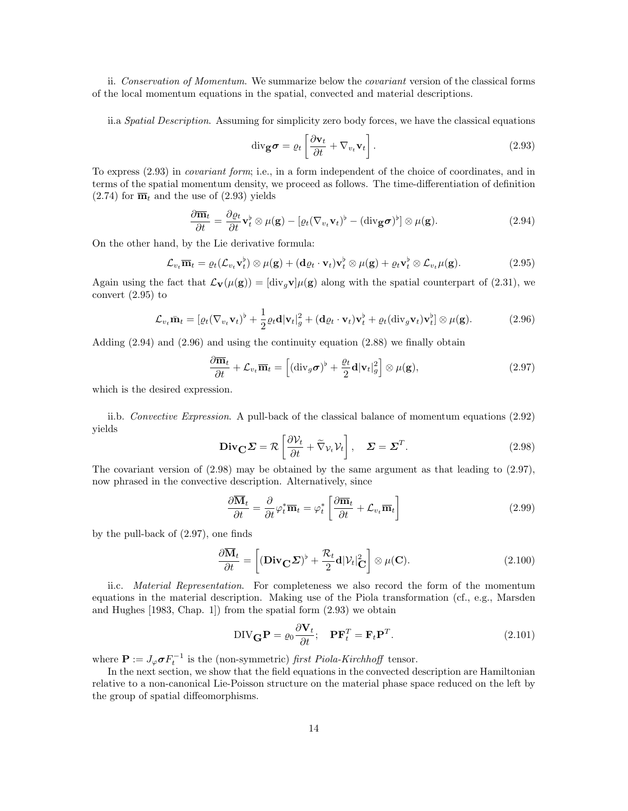ii. Conservation of Momentum. We summarize below the covariant version of the classical forms of the local momentum equations in the spatial, convected and material descriptions.

ii.a Spatial Description. Assuming for simplicity zero body forces, we have the classical equations

$$
\operatorname{div}_{\mathbf{g}} \boldsymbol{\sigma} = \varrho_t \left[ \frac{\partial \mathbf{v}_t}{\partial t} + \nabla_{v_t} \mathbf{v}_t \right]. \tag{2.93}
$$

To express (2.93) in covariant form; i.e., in a form independent of the choice of coordinates, and in terms of the spatial momentum density, we proceed as follows. The time-differentiation of definition  $(2.74)$  for  $\overline{\mathbf{m}}_t$  and the use of  $(2.93)$  yields

$$
\frac{\partial \overline{\mathbf{m}}_t}{\partial t} = \frac{\partial \varrho_t}{\partial t} \mathbf{v}_t^{\flat} \otimes \mu(\mathbf{g}) - [\varrho_t (\nabla_{v_t} \mathbf{v}_t)^{\flat} - (\text{div}_{\mathbf{g}} \boldsymbol{\sigma})^{\flat}] \otimes \mu(\mathbf{g}). \tag{2.94}
$$

On the other hand, by the Lie derivative formula:

$$
\mathcal{L}_{v_t} \overline{\mathbf{m}}_t = \varrho_t(\mathcal{L}_{v_t} \mathbf{v}_t^{\flat}) \otimes \mu(\mathbf{g}) + (\mathbf{d}\varrho_t \cdot \mathbf{v}_t) \mathbf{v}_t^{\flat} \otimes \mu(\mathbf{g}) + \varrho_t \mathbf{v}_t^{\flat} \otimes \mathcal{L}_{v_t} \mu(\mathbf{g}). \tag{2.95}
$$

Again using the fact that  $\mathcal{L}_{\mathbf{V}}(\mu(\mathbf{g})) = [\text{div}_g \mathbf{v}] \mu(\mathbf{g})$  along with the spatial counterpart of (2.31), we convert (2.95) to

$$
\mathcal{L}_{v_t} \bar{\mathbf{m}}_t = [\varrho_t (\nabla_{v_t} \mathbf{v}_t)^{\flat} + \frac{1}{2} \varrho_t \mathbf{d} | \mathbf{v}_t |_g^2 + (\mathbf{d}\varrho_t \cdot \mathbf{v}_t) \mathbf{v}_t^{\flat} + \varrho_t (\text{div}_g \mathbf{v}_t) \mathbf{v}_t^{\flat}] \otimes \mu(\mathbf{g}). \tag{2.96}
$$

Adding  $(2.94)$  and  $(2.96)$  and using the continuity equation  $(2.88)$  we finally obtain

$$
\frac{\partial \overline{\mathbf{m}}_t}{\partial t} + \mathcal{L}_{v_t} \overline{\mathbf{m}}_t = \left[ (\text{div}_g \boldsymbol{\sigma})^{\flat} + \frac{\varrho_t}{2} \mathbf{d} |\mathbf{v}_t|_g^2 \right] \otimes \mu(\mathbf{g}),\tag{2.97}
$$

which is the desired expression.

ii.b. Convective Expression. A pull-back of the classical balance of momentum equations (2.92) yields

$$
\mathbf{Div}_{\mathbf{C}} \mathbf{\Sigma} = \mathcal{R} \left[ \frac{\partial \mathcal{V}_t}{\partial t} + \tilde{\nabla}_{\mathcal{V}_t} \mathcal{V}_t \right], \quad \mathbf{\Sigma} = \mathbf{\Sigma}^T.
$$
 (2.98)

The covariant version of (2.98) may be obtained by the same argument as that leading to (2.97), now phrased in the convective description. Alternatively, since

$$
\frac{\partial \overline{\mathbf{M}}_t}{\partial t} = \frac{\partial}{\partial t} \varphi_t^* \overline{\mathbf{m}}_t = \varphi_t^* \left[ \frac{\partial \overline{\mathbf{m}}_t}{\partial t} + \mathcal{L}_{v_t} \overline{\mathbf{m}}_t \right]
$$
(2.99)

by the pull-back of (2.97), one finds

$$
\frac{\partial \overline{\mathbf{M}}_t}{\partial t} = \left[ (\mathbf{Div}_{\mathbf{C}} \Sigma)^{\flat} + \frac{\mathcal{R}_t}{2} \mathbf{d} |\mathcal{V}_t|_{\mathbf{C}}^2 \right] \otimes \mu(\mathbf{C}). \tag{2.100}
$$

ii.c. Material Representation. For completeness we also record the form of the momentum equations in the material description. Making use of the Piola transformation (cf., e.g., Marsden and Hughes [1983, Chap. 1]) from the spatial form (2.93) we obtain

$$
DIV_{\mathbf{G}}\mathbf{P} = \varrho_0 \frac{\partial \mathbf{V}_t}{\partial t}; \quad \mathbf{P} \mathbf{F}_t^T = \mathbf{F}_t \mathbf{P}^T.
$$
 (2.101)

where  $\mathbf{P} := J_{\varphi} \boldsymbol{\sigma} F_t^{-1}$  is the (non-symmetric) first Piola-Kirchhoff tensor.

In the next section, we show that the field equations in the convected description are Hamiltonian relative to a non-canonical Lie-Poisson structure on the material phase space reduced on the left by the group of spatial diffeomorphisms.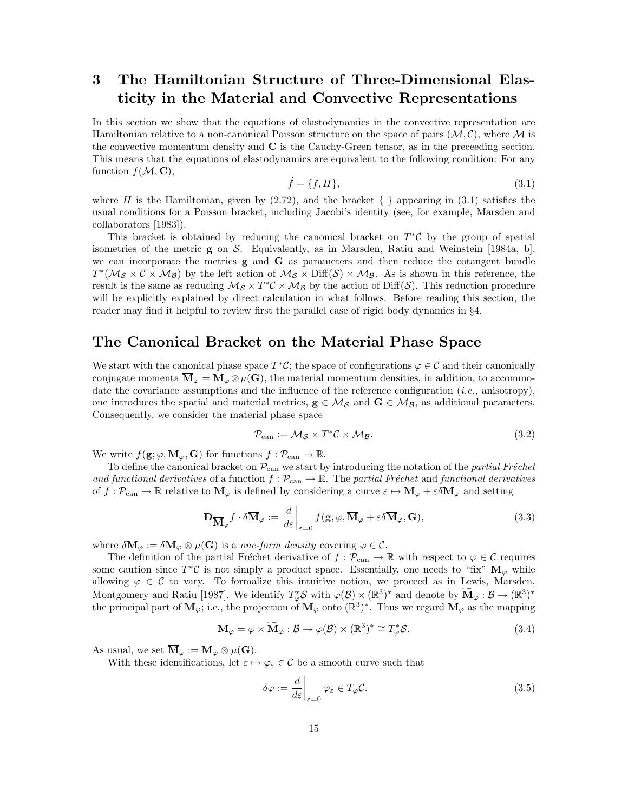# **3 The Hamiltonian Structure of Three-Dimensional Elasticity in the Material and Convective Representations**

In this section we show that the equations of elastodynamics in the convective representation are Hamiltonian relative to a non-canonical Poisson structure on the space of pairs  $(M, \mathcal{C})$ , where M is the convective momentum density and **C** is the Cauchy-Green tensor, as in the preceeding section. This means that the equations of elastodynamics are equivalent to the following condition: For any function  $f(M, \mathbf{C}),$ <br> $\dot{f} = \{f, H\},$  (3.1)

$$
\dot{f} = \{f, H\},\tag{3.1}
$$

where H is the Hamiltonian, given by  $(2.72)$ , and the bracket  $\{\}$  appearing in  $(3.1)$  satisfies the usual conditions for a Poisson bracket, including Jacobi's identity (see, for example, Marsden and collaborators [1983]).

This bracket is obtained by reducing the canonical bracket on  $T^{\ast}C$  by the group of spatial isometries of the metric **g** on S. Equivalently, as in Marsden, Ratiu and Weinstein [1984a, b], we can incorporate the metrics **g** and **G** as parameters and then reduce the cotangent bundle  $T^*(\mathcal{M}_{\mathcal{S}} \times \mathcal{C} \times \mathcal{M}_{\mathcal{B}})$  by the left action of  $\mathcal{M}_{\mathcal{S}} \times \text{Diff}(\mathcal{S}) \times \mathcal{M}_{\mathcal{B}}$ . As is shown in this reference, the result is the same as reducing  $\mathcal{M}_{\mathcal{S}} \times T^*\mathcal{C} \times \mathcal{M}_{\mathcal{B}}$  by the action of Diff(S). This reduction procedure will be explicitly explained by direct calculation in what follows. Before reading this section, the reader may find it helpful to review first the parallel case of rigid body dynamics in §4.

# **The Canonical Bracket on the Material Phase Space**

We start with the canonical phase space  $T^*\mathcal{C}$ ; the space of configurations  $\varphi \in \mathcal{C}$  and their canonically conjugate momenta  $\overline{\mathbf{M}}_{\varphi} = \mathbf{M}_{\varphi} \otimes \mu(\mathbf{G})$ , the material momentum densities, in addition, to accommodate the covariance assumptions and the influence of the reference configuration (*i.e.*, anisotropy), one introduces the spatial and material metrics,  $g \in M_S$  and  $G \in M_B$ , as additional parameters. Consequently, we consider the material phase space

$$
\mathcal{P}_{\text{can}} := \mathcal{M}_{\mathcal{S}} \times T^* \mathcal{C} \times \mathcal{M}_{\mathcal{B}}.
$$
\n(3.2)

We write  $f(\mathbf{g}; \varphi, \overline{\mathbf{M}}_{\varphi}, \mathbf{G})$  for functions  $f : \mathcal{P}_{\operatorname{can}} \to \mathbb{R}$ .

To define the canonical bracket on  $\mathcal{P}_{\text{can}}$  we start by introducing the notation of the *partial Fréchet* and functional derivatives of a function  $f : \mathcal{P}_{\text{can}} \to \mathbb{R}$ . The partial Fréchet and functional derivatives of  $f: \mathcal{P}_{\text{can}} \to \mathbb{R}$  relative to  $\overline{\mathbf{M}}_{\varphi}$  is defined by considering a curve  $\varepsilon \mapsto \overline{\mathbf{M}}_{\varphi} + \varepsilon \delta \overline{\mathbf{M}}_{\varphi}$  and setting

$$
\mathbf{D}_{\overline{\mathbf{M}}_{\varphi}} f \cdot \delta \overline{\mathbf{M}}_{\varphi} := \left. \frac{d}{d\varepsilon} \right|_{\varepsilon=0} f(\mathbf{g}, \varphi, \overline{\mathbf{M}}_{\varphi} + \varepsilon \delta \overline{\mathbf{M}}_{\varphi}, \mathbf{G}), \tag{3.3}
$$

where  $\delta \overline{M}_{\varphi} := \delta M_{\varphi} \otimes \mu(G)$  is a one-form density covering  $\varphi \in C$ .

The definition of the partial Fréchet derivative of  $f : \mathcal{P}_{\text{can}} \to \mathbb{R}$  with respect to  $\varphi \in \mathcal{C}$  requires some caution since  $T^*\mathcal{C}$  is not simply a product space. Essentially, one needs to "fix"  $\overline{\mathbf{M}}_{\varphi}$  while allowing  $\varphi \in \mathcal{C}$  to vary. To formalize this intuitive notion, we proceed as in Lewis, Marsden, Montgomery and Ratiu [1987]. We identify  $T^*_{\varphi}S$  with  $\varphi(\mathcal{B}) \times (\mathbb{R}^3)^*$  and denote by  $\widetilde{\mathbf{M}}_{\varphi}: \mathcal{B} \to (\mathbb{R}^3)^*$ the principal part of  $\mathbf{M}_{\varphi}$ ; i.e., the projection of  $\mathbf{M}_{\varphi}$  onto  $(\mathbb{R}^3)^*$ . Thus we regard  $\mathbf{M}_{\varphi}$  as the mapping

$$
\mathbf{M}_{\varphi} = \varphi \times \widetilde{\mathbf{M}}_{\varphi} : \mathcal{B} \to \varphi(\mathcal{B}) \times (\mathbb{R}^3)^* \cong T_{\varphi}^* \mathcal{S}.
$$
 (3.4)

As usual, we set  $\overline{\mathbf{M}}_{\varphi} := \mathbf{M}_{\varphi} \otimes \mu(\mathbf{G}).$ 

With these identifications, let  $\varepsilon \mapsto \varphi_{\varepsilon} \in \mathcal{C}$  be a smooth curve such that

$$
\delta\varphi := \frac{d}{d\varepsilon}\bigg|_{\varepsilon=0} \varphi_{\varepsilon} \in T_{\varphi}\mathcal{C}.\tag{3.5}
$$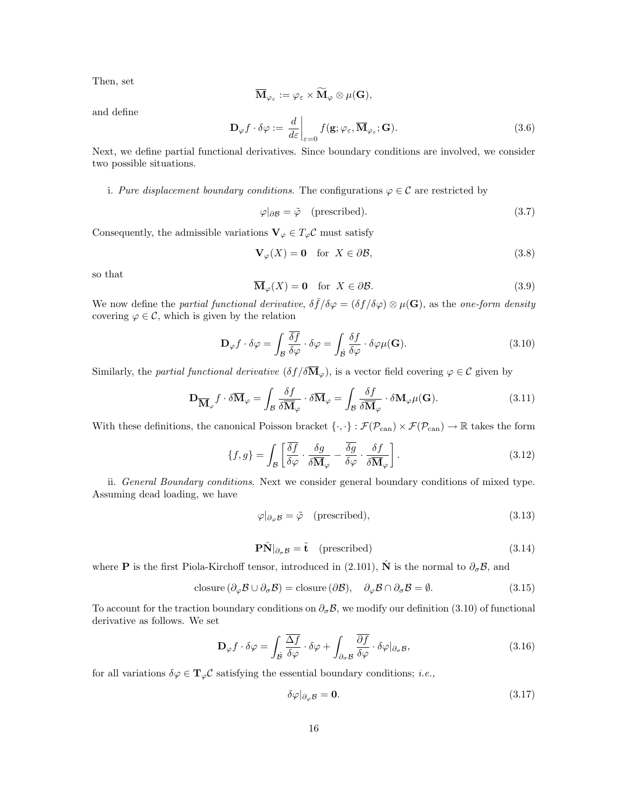Then, set

$$
\overline{\mathbf{M}}_{\varphi_{\varepsilon}} := \varphi_{\varepsilon} \times \widetilde{\mathbf{M}}_{\varphi} \otimes \mu(\mathbf{G}),
$$

and define

$$
\mathbf{D}_{\varphi} f \cdot \delta \varphi := \left. \frac{d}{d\varepsilon} \right|_{\varepsilon=0} f(\mathbf{g}; \varphi_{\varepsilon}, \overline{\mathbf{M}}_{\varphi_{\varepsilon}}; \mathbf{G}). \tag{3.6}
$$

Next, we define partial functional derivatives. Since boundary conditions are involved, we consider two possible situations.

i. Pure displacement boundary conditions. The configurations  $\varphi \in \mathcal{C}$  are restricted by

$$
\varphi|_{\partial \mathcal{B}} = \tilde{\varphi} \quad \text{(prescribed)}.\tag{3.7}
$$

Consequently, the admissible variations  $\mathbf{V}_{\varphi} \in T_{\varphi} \mathcal{C}$  must satisfy

$$
\mathbf{V}_{\varphi}(X) = \mathbf{0} \quad \text{for} \ \ X \in \partial \mathcal{B},\tag{3.8}
$$

so that

$$
\overline{\mathbf{M}}_{\varphi}(X) = \mathbf{0} \quad \text{for } X \in \partial \mathcal{B}.\tag{3.9}
$$

We now define the partial functional derivative,  $\delta \bar{f}/\delta \varphi = (\delta f/\delta \varphi) \otimes \mu(\mathbf{G})$ , as the one-form density covering  $\varphi \in \mathcal{C}$ , which is given by the relation

$$
\mathbf{D}_{\varphi} f \cdot \delta \varphi = \int_{\mathcal{B}} \frac{\overline{\delta f}}{\delta \varphi} \cdot \delta \varphi = \int_{\mathcal{B}} \frac{\delta f}{\delta \varphi} \cdot \delta \varphi \mu(\mathbf{G}). \tag{3.10}
$$

Similarly, the *partial functional derivative*  $(\delta f / \delta \overline{M}_{\varphi})$ , is a vector field covering  $\varphi \in \mathcal{C}$  given by

$$
\mathbf{D}_{\overline{\mathbf{M}}_{\varphi}} f \cdot \delta \overline{\mathbf{M}}_{\varphi} = \int_{\mathcal{B}} \frac{\delta f}{\delta \overline{\mathbf{M}}_{\varphi}} \cdot \delta \overline{\mathbf{M}}_{\varphi} = \int_{\mathcal{B}} \frac{\delta f}{\delta \overline{\mathbf{M}}_{\varphi}} \cdot \delta \mathbf{M}_{\varphi} \mu(\mathbf{G}). \tag{3.11}
$$

With these definitions, the canonical Poisson bracket  $\{\cdot,\cdot\} : \mathcal{F}(\mathcal{P}_{\text{can}}) \times \mathcal{F}(\mathcal{P}_{\text{can}}) \to \mathbb{R}$  takes the form

$$
\{f,g\} = \int_{\mathcal{B}} \left[ \frac{\overline{\delta f}}{\delta \varphi} \cdot \frac{\delta g}{\delta \overline{\mathbf{M}}_{\varphi}} - \frac{\overline{\delta g}}{\delta \varphi} \cdot \frac{\delta f}{\delta \overline{\mathbf{M}}_{\varphi}} \right]. \tag{3.12}
$$

ii. General Boundary conditions. Next we consider general boundary conditions of mixed type. Assuming dead loading, we have

$$
\varphi|_{\partial_{\varphi} \mathcal{B}} = \tilde{\varphi} \quad \text{(prescribed)},\tag{3.13}
$$

$$
\mathbf{P}\hat{\mathbf{N}}|_{\partial_{\sigma}\mathcal{B}} = \tilde{\mathbf{t}} \quad \text{(prescribed)} \tag{3.14}
$$

where **P** is the first Piola-Kirchoff tensor, introduced in (2.101),  $\hat{\bf N}$  is the normal to  $\partial_{\sigma} \mathcal{B}$ , and

$$
\text{closure} \left( \partial_{\varphi} \mathcal{B} \cup \partial_{\sigma} \mathcal{B} \right) = \text{closure} \left( \partial \mathcal{B} \right), \quad \partial_{\varphi} \mathcal{B} \cap \partial_{\sigma} \mathcal{B} = \emptyset. \tag{3.15}
$$

To account for the traction boundary conditions on  $\partial_{\sigma} \mathcal{B}$ , we modify our definition (3.10) of functional derivative as follows. We set

$$
\mathbf{D}_{\varphi} f \cdot \delta \varphi = \int_{\mathcal{B}} \frac{\overline{\Delta f}}{\delta \varphi} \cdot \delta \varphi + \int_{\partial_{\sigma} \mathcal{B}} \frac{\overline{\partial f}}{\delta \varphi} \cdot \delta \varphi |_{\partial_{\sigma} \mathcal{B}}, \tag{3.16}
$$

for all variations  $\delta \varphi \in \mathbf{T}_{\varphi} \mathcal{C}$  satisfying the essential boundary conditions; *i.e.*,

$$
\delta\varphi|_{\partial_{\varphi}\mathcal{B}} = \mathbf{0}.\tag{3.17}
$$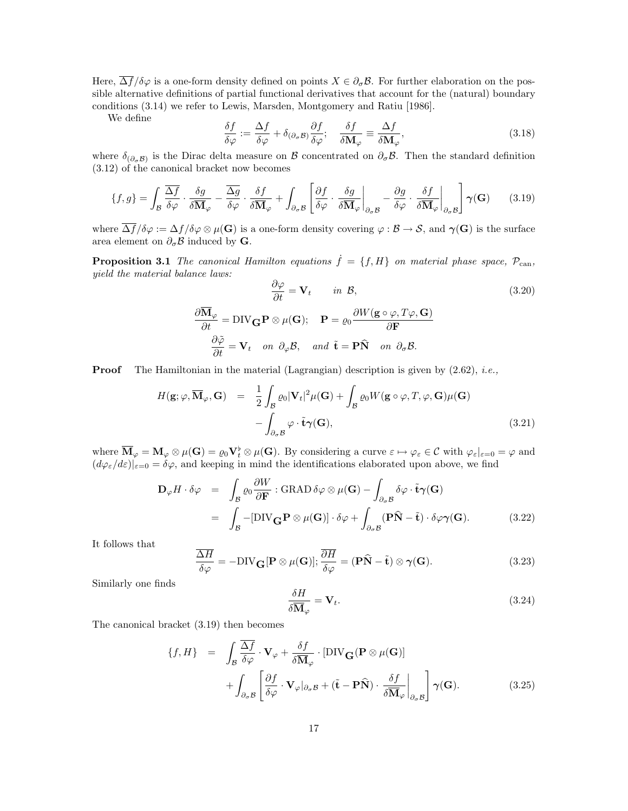Here,  $\overline{\Delta f}/\delta\varphi$  is a one-form density defined on points  $X \in \partial_{\sigma} \mathcal{B}$ . For further elaboration on the possible alternative definitions of partial functional derivatives that account for the (natural) boundary conditions (3.14) we refer to Lewis, Marsden, Montgomery and Ratiu [1986].

We define

$$
\frac{\delta f}{\delta \varphi} := \frac{\Delta f}{\delta \varphi} + \delta_{(\partial_{\sigma} \mathcal{B})} \frac{\partial f}{\delta \varphi}; \quad \frac{\delta f}{\delta \mathbf{M}_{\varphi}} \equiv \frac{\Delta f}{\delta \mathbf{M}_{\varphi}},\tag{3.18}
$$

where  $\delta_{(\partial_{\sigma} \mathcal{B})}$  is the Dirac delta measure on B concentrated on  $\partial_{\sigma} \mathcal{B}$ . Then the standard definition (3.12) of the canonical bracket now becomes

$$
\{f,g\} = \int_{\mathcal{B}} \frac{\overline{\Delta f}}{\delta \varphi} \cdot \frac{\delta g}{\delta \overline{\mathbf{M}}_{\varphi}} - \frac{\overline{\Delta g}}{\delta \varphi} \cdot \frac{\delta f}{\delta \overline{\mathbf{M}}_{\varphi}} + \int_{\partial_{\sigma} \mathcal{B}} \left[ \frac{\partial f}{\delta \varphi} \cdot \frac{\delta g}{\delta \overline{\mathbf{M}}_{\varphi}} \Big|_{\partial_{\sigma} \mathcal{B}} - \frac{\partial g}{\delta \varphi} \cdot \frac{\delta f}{\delta \overline{\mathbf{M}}_{\varphi}} \Big|_{\partial_{\sigma} \mathcal{B}} \right] \gamma(\mathbf{G}) \tag{3.19}
$$

where  $\overline{\Delta f}/\delta\varphi := \Delta f/\delta\varphi \otimes \mu(\mathbf{G})$  is a one-form density covering  $\varphi : \mathcal{B} \to \mathcal{S}$ , and  $\gamma(\mathbf{G})$  is the surface area element on  $\partial_{\sigma} \mathcal{B}$  induced by **G**.

**Proposition 3.1** The canonical Hamilton equations  $\dot{f} = \{f, H\}$  on material phase space,  $\mathcal{P}_{\text{can}}$ , yield the material balance laws: ∂ϕ

$$
\frac{\partial \varphi}{\partial t} = \mathbf{V}_t \quad \text{in } \mathcal{B},
$$
\n
$$
\frac{\partial \overline{\mathbf{M}}_{\varphi}}{\partial t} = \text{DIV}_{\mathbf{G}} \mathbf{P} \otimes \mu(\mathbf{G}); \quad \mathbf{P} = \varrho_0 \frac{\partial W(\mathbf{g} \circ \varphi, T\varphi, \mathbf{G})}{\partial \mathbf{F}}
$$
\n
$$
\frac{\partial \tilde{\varphi}}{\partial t} = \mathbf{V}_t \quad on \ \partial_{\varphi} \mathcal{B}, \quad and \ \tilde{\mathbf{t}} = \mathbf{P} \hat{\mathbf{N}} \quad on \ \partial_{\sigma} \mathcal{B}.
$$
\n(3.20)

**Proof** The Hamiltonian in the material (Lagrangian) description is given by  $(2.62)$ , *i.e.*,

$$
H(\mathbf{g}; \varphi, \overline{\mathbf{M}}_{\varphi}, \mathbf{G}) = \frac{1}{2} \int_{\mathcal{B}} \varrho_{0} |\mathbf{V}_{t}|^{2} \mu(\mathbf{G}) + \int_{\mathcal{B}} \varrho_{0} W(\mathbf{g} \circ \varphi, T, \varphi, \mathbf{G}) \mu(\mathbf{G}) - \int_{\partial_{\sigma} \mathcal{B}} \varphi \cdot \tilde{\mathbf{t}} \gamma(\mathbf{G}),
$$
\n(3.21)

where  $\overline{\mathbf{M}}_{\varphi} = \mathbf{M}_{\varphi} \otimes \mu(\mathbf{G}) = \varrho_0 \mathbf{V}_t^{\flat} \otimes \mu(\mathbf{G})$ . By considering a curve  $\varepsilon \mapsto \varphi_{\varepsilon} \in \mathcal{C}$  with  $\varphi_{\varepsilon}|_{\varepsilon=0} = \varphi$  and  $(d\varphi_{\varepsilon}/d\varepsilon)|_{\varepsilon=0}=\delta\varphi$ , and keeping in mind the identifications elaborated upon above, we find

$$
\mathbf{D}_{\varphi} H \cdot \delta \varphi = \int_{\mathcal{B}} \varrho_{0} \frac{\partial W}{\partial \mathbf{F}} : \text{GRAD} \, \delta \varphi \otimes \mu(\mathbf{G}) - \int_{\partial_{\sigma} \mathcal{B}} \delta \varphi \cdot \tilde{\mathbf{t}} \gamma(\mathbf{G})
$$
  
= 
$$
\int_{\mathcal{B}} -[\text{DIV}_{\mathbf{G}} \mathbf{P} \otimes \mu(\mathbf{G})] \cdot \delta \varphi + \int_{\partial_{\sigma} \mathcal{B}} (\mathbf{P} \hat{\mathbf{N}} - \tilde{\mathbf{t}}) \cdot \delta \varphi \gamma(\mathbf{G}).
$$
 (3.22)

It follows that

$$
\frac{\overline{\Delta H}}{\delta \varphi} = -\text{DIV}_{\mathbf{G}}[\mathbf{P} \otimes \mu(\mathbf{G})]; \frac{\overline{\partial H}}{\delta \varphi} = (\mathbf{P}\hat{\mathbf{N}} - \tilde{\mathbf{t}}) \otimes \gamma(\mathbf{G}).
$$
\n(3.23)

Similarly one finds

$$
\frac{\delta H}{\delta \overline{\mathbf{M}}_{\varphi}} = \mathbf{V}_t. \tag{3.24}
$$

The canonical bracket (3.19) then becomes

$$
\{f, H\} = \int_{\mathcal{B}} \frac{\overline{\Delta f}}{\delta \varphi} \cdot \mathbf{V}_{\varphi} + \frac{\delta f}{\delta \overline{\mathbf{M}}_{\varphi}} \cdot [\text{DIV}_{\mathbf{G}}(\mathbf{P} \otimes \mu(\mathbf{G}))] + \int_{\partial_{\sigma} \mathcal{B}} \left[ \frac{\partial f}{\delta \varphi} \cdot \mathbf{V}_{\varphi}|_{\partial_{\sigma} \mathcal{B}} + (\tilde{\mathbf{t}} - \mathbf{P}\hat{\mathbf{N}}) \cdot \frac{\delta f}{\delta \overline{\mathbf{M}}_{\varphi}} \right]_{\partial_{\sigma} \mathcal{B}} \gamma(\mathbf{G}).
$$
 (3.25)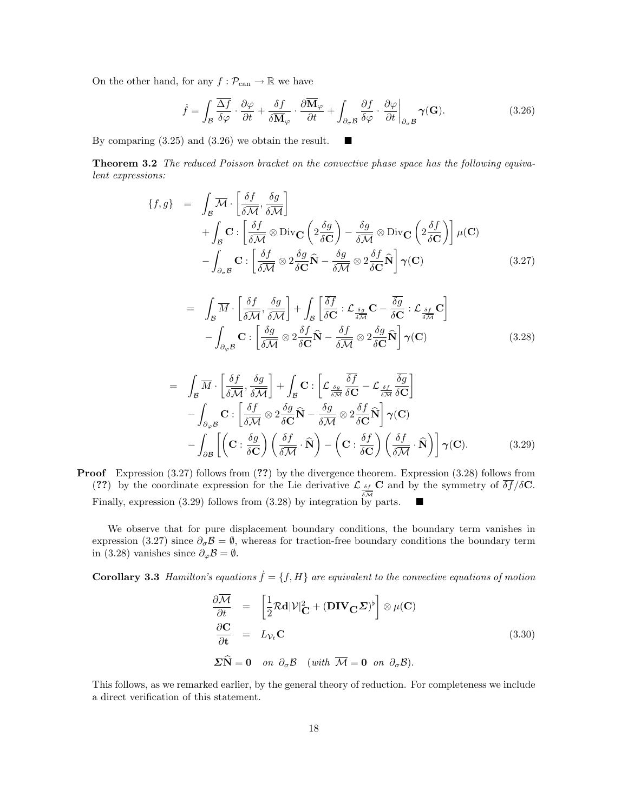On the other hand, for any  $f : \mathcal{P}_{\text{can}} \to \mathbb{R}$  we have

$$
\dot{f} = \int_{\mathcal{B}} \frac{\overline{\Delta f}}{\delta \varphi} \cdot \frac{\partial \varphi}{\partial t} + \frac{\delta f}{\delta \overline{\mathbf{M}}_{\varphi}} \cdot \frac{\partial \overline{\mathbf{M}}_{\varphi}}{\partial t} + \int_{\partial_{\sigma} \mathcal{B}} \frac{\partial f}{\delta \varphi} \cdot \frac{\partial \varphi}{\partial t} \bigg|_{\partial_{\sigma} \mathcal{B}} \gamma(\mathbf{G}). \tag{3.26}
$$

By comparing (3.25) and (3.26) we obtain the result.  $\blacksquare$ 

**Theorem 3.2** The reduced Poisson bracket on the convective phase space has the following equivalent expressions:

$$
\{f,g\} = \int_{\mathcal{B}} \overline{\mathcal{M}} \cdot \left[ \frac{\delta f}{\delta \overline{\mathcal{M}}} , \frac{\delta g}{\delta \overline{\mathcal{M}}} \right] \n+ \int_{\mathcal{B}} \mathbf{C} : \left[ \frac{\delta f}{\delta \overline{\mathcal{M}}} \otimes \text{Div}_{\mathbf{C}} \left( 2 \frac{\delta g}{\delta \mathbf{C}} \right) - \frac{\delta g}{\delta \overline{\mathcal{M}}} \otimes \text{Div}_{\mathbf{C}} \left( 2 \frac{\delta f}{\delta \mathbf{C}} \right) \right] \mu(\mathbf{C}) \n- \int_{\partial_{\sigma} \mathcal{B}} \mathbf{C} : \left[ \frac{\delta f}{\delta \overline{\mathcal{M}}} \otimes 2 \frac{\delta g}{\delta \mathbf{C}} \widehat{\mathbf{N}} - \frac{\delta g}{\delta \overline{\mathcal{M}}} \otimes 2 \frac{\delta f}{\delta \mathbf{C}} \widehat{\mathbf{N}} \right] \gamma(\mathbf{C}) \tag{3.27}
$$

$$
= \int_{\mathcal{B}} \overline{M} \cdot \left[ \frac{\delta f}{\delta \overline{\mathcal{M}}} , \frac{\delta g}{\delta \overline{\mathcal{M}}} \right] + \int_{\mathcal{B}} \left[ \frac{\overline{\delta f}}{\delta \mathbf{C}} : \mathcal{L}_{\frac{\delta g}{\delta \overline{\mathcal{M}}}} \mathbf{C} - \frac{\overline{\delta g}}{\delta \mathbf{C}} : \mathcal{L}_{\frac{\delta f}{\delta \overline{\mathcal{M}}}} \mathbf{C} \right] - \int_{\partial_{\varphi} \mathcal{B}} \mathbf{C} : \left[ \frac{\delta g}{\delta \overline{\mathcal{M}}} \otimes 2 \frac{\delta f}{\delta \mathbf{C}} \widehat{\mathbf{N}} - \frac{\delta f}{\delta \overline{\mathcal{M}}} \otimes 2 \frac{\delta g}{\delta \mathbf{C}} \widehat{\mathbf{N}} \right] \gamma(\mathbf{C}) \tag{3.28}
$$

$$
= \int_{\mathcal{B}} \overline{M} \cdot \left[ \frac{\delta f}{\delta \overline{\mathcal{M}}} , \frac{\delta g}{\delta \overline{\mathcal{M}}} \right] + \int_{\mathcal{B}} \mathbf{C} : \left[ \mathcal{L}_{\frac{\delta g}{\delta \overline{\mathcal{M}}} } \frac{\overline{\delta f}}{\delta \mathbf{C}} - \mathcal{L}_{\frac{\delta f}{\delta \overline{\mathcal{M}}} } \frac{\overline{\delta g}}{\delta \mathbf{C}} \right] - \int_{\partial_{\varphi} \mathcal{B}} \mathbf{C} : \left[ \frac{\delta f}{\delta \overline{\mathcal{M}}} \otimes 2 \frac{\delta g}{\delta \mathbf{C}} \widehat{\mathbf{N}} - \frac{\delta g}{\delta \overline{\mathcal{M}}} \otimes 2 \frac{\delta f}{\delta \mathbf{C}} \widehat{\mathbf{N}} \right] \gamma(\mathbf{C}) - \int_{\partial \mathcal{B}} \left[ \left( \mathbf{C} : \frac{\delta g}{\delta \mathbf{C}} \right) \left( \frac{\delta f}{\delta \overline{\mathcal{M}}} \cdot \widehat{\mathbf{N}} \right) - \left( \mathbf{C} : \frac{\delta f}{\delta \mathbf{C}} \right) \left( \frac{\delta f}{\delta \overline{\mathcal{M}}} \cdot \widehat{\mathbf{N}} \right) \right] \gamma(\mathbf{C}). \tag{3.29}
$$

**Proof** Expression (3.27) follows from (**??**) by the divergence theorem. Expression (3.28) follows from (??) by the coordinate expression for the Lie derivative  $\mathcal{L}_{\frac{\delta f}{\delta M}}$ **C** and by the symmetry of  $\delta f / \delta C$ . Finally, expression  $(3.29)$  follows from  $(3.28)$  by integration by parts.

We observe that for pure displacement boundary conditions, the boundary term vanishes in expression (3.27) since  $\partial_{\sigma} \mathcal{B} = \emptyset$ , whereas for traction-free boundary conditions the boundary term in (3.28) vanishes since  $\partial_{\varphi} \mathcal{B} = \emptyset$ .

**Corollary 3.3** Hamilton's equations  $\dot{f} = \{f, H\}$  are equivalent to the convective equations of motion

$$
\frac{\partial \overline{\mathcal{M}}}{\partial t} = \left[ \frac{1}{2} \mathcal{R} d |\mathcal{V}|_{\mathbf{C}}^2 + (\mathbf{DIV}_{\mathbf{C}} \Sigma)^{\flat} \right] \otimes \mu(\mathbf{C})
$$
\n
$$
\frac{\partial \mathbf{C}}{\partial t} = L_{\mathcal{V}_t} \mathbf{C}
$$
\n
$$
\Sigma \widehat{\mathbf{N}} = \mathbf{0} \quad on \quad \partial_{\sigma} \mathcal{B} \quad (with \quad \overline{\mathcal{M}} = \mathbf{0} \quad on \quad \partial_{\sigma} \mathcal{B}).
$$
\n(3.30)

This follows, as we remarked earlier, by the general theory of reduction. For completeness we include a direct verification of this statement.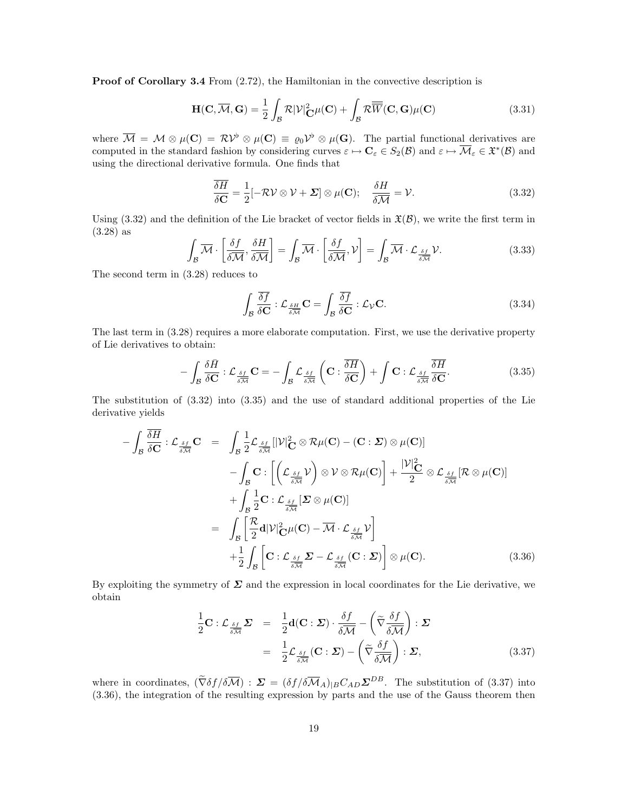**Proof of Corollary 3.4** From  $(2.72)$ , the Hamiltonian in the convective description is

$$
\mathbf{H}(\mathbf{C}, \overline{\mathcal{M}}, \mathbf{G}) = \frac{1}{2} \int_{\mathcal{B}} \mathcal{R} |\mathcal{V}|^2_{\mathbf{C}} \mu(\mathbf{C}) + \int_{\mathcal{B}} \mathcal{R} \overline{\overline{W}}(\mathbf{C}, \mathbf{G}) \mu(\mathbf{C})
$$
(3.31)

where  $\overline{\mathcal{M}} = \mathcal{M} \otimes \mu(\mathbf{C}) = \mathcal{RV}^{\flat} \otimes \mu(\mathbf{C}) \equiv \varrho_0 \mathcal{V}^{\flat} \otimes \mu(\mathbf{G})$ . The partial functional derivatives are computed in the standard fashion by considering curves  $\varepsilon \mapsto \mathbf{C}_{\varepsilon} \in S_2(\mathcal{B})$  and  $\varepsilon \mapsto \overline{\mathcal{M}}_{\varepsilon} \in \mathfrak{X}^*(\mathcal{B})$  and using the directional derivative formula. One finds that

$$
\frac{\delta H}{\delta \mathbf{C}} = \frac{1}{2} [-\mathcal{RV} \otimes \mathcal{V} + \mathbf{\Sigma}] \otimes \mu(\mathbf{C}); \quad \frac{\delta H}{\delta \mathcal{M}} = \mathcal{V}.
$$
 (3.32)

Using  $(3.32)$  and the definition of the Lie bracket of vector fields in  $\mathfrak{X}(\mathcal{B})$ , we write the first term in (3.28) as

$$
\int_{\mathcal{B}} \overline{\mathcal{M}} \cdot \left[ \frac{\delta f}{\delta \overline{\mathcal{M}}} , \frac{\delta H}{\delta \overline{\mathcal{M}}} \right] = \int_{\mathcal{B}} \overline{\mathcal{M}} \cdot \left[ \frac{\delta f}{\delta \overline{\mathcal{M}}} , \mathcal{V} \right] = \int_{\mathcal{B}} \overline{\mathcal{M}} \cdot \mathcal{L}_{\frac{\delta f}{\delta \overline{\mathcal{M}}}} \mathcal{V}.
$$
\n(3.33)

The second term in (3.28) reduces to

$$
\int_{\mathcal{B}} \frac{\overline{\delta f}}{\delta \mathbf{C}} : \mathcal{L}_{\frac{\delta H}{\delta \mathcal{M}}} \mathbf{C} = \int_{\mathcal{B}} \frac{\overline{\delta f}}{\delta \mathbf{C}} : \mathcal{L}_{\mathcal{V}} \mathbf{C}.
$$
\n(3.34)

The last term in (3.28) requires a more elaborate computation. First, we use the derivative property of Lie derivatives to obtain:

$$
-\int_{\mathcal{B}} \frac{\delta \bar{H}}{\delta \mathbf{C}} : \mathcal{L}_{\frac{\delta f}{\delta \mathcal{M}}} \mathbf{C} = -\int_{\mathcal{B}} \mathcal{L}_{\frac{\delta f}{\delta \mathcal{M}}} \left( \mathbf{C} : \frac{\overline{\delta H}}{\delta \mathbf{C}} \right) + \int \mathbf{C} : \mathcal{L}_{\frac{\delta f}{\delta \mathcal{M}}} \frac{\overline{\delta H}}{\delta \mathbf{C}}.
$$
 (3.35)

The substitution of (3.32) into (3.35) and the use of standard additional properties of the Lie derivative yields

$$
-\int_{\mathcal{B}} \frac{\overline{\delta H}}{\delta \mathbf{C}} : \mathcal{L}_{\frac{\delta f}{\delta \mathcal{M}}} \mathbf{C} = \int_{\mathcal{B}} \frac{1}{2} \mathcal{L}_{\frac{\delta f}{\delta \mathcal{M}}} [|\mathcal{V}|_{\mathbf{C}}^{2} \otimes \mathcal{R}\mu(\mathbf{C}) - (\mathbf{C} : \mathbf{\Sigma}) \otimes \mu(\mathbf{C})] - \int_{\mathcal{B}} \mathbf{C} : \left[ \left( \mathcal{L}_{\frac{\delta f}{\delta \mathcal{M}}} \mathcal{V} \right) \otimes \mathcal{V} \otimes \mathcal{R}\mu(\mathbf{C}) \right] + \frac{|\mathcal{V}|_{\mathbf{C}}^{2}}{2} \otimes \mathcal{L}_{\frac{\delta f}{\delta \mathcal{M}}} [\mathcal{R} \otimes \mu(\mathbf{C})] + \int_{\mathcal{B}} \frac{1}{2} \mathbf{C} : \mathcal{L}_{\frac{\delta f}{\delta \mathcal{M}}} [\mathbf{\Sigma} \otimes \mu(\mathbf{C})] = \int_{\mathcal{B}} \left[ \frac{\mathcal{R}}{2} \mathbf{d} |\mathcal{V}|_{\mathbf{C}}^{2} \mu(\mathbf{C}) - \overline{\mathcal{M}} \cdot \mathcal{L}_{\frac{\delta f}{\delta \mathcal{M}}} \mathcal{V} \right] + \frac{1}{2} \int_{\mathcal{B}} \left[ \mathbf{C} : \mathcal{L}_{\frac{\delta f}{\delta \mathcal{M}}} \mathbf{\Sigma} - \mathcal{L}_{\frac{\delta f}{\delta \mathcal{M}}} (\mathbf{C} : \mathbf{\Sigma}) \right] \otimes \mu(\mathbf{C}). \tag{3.36}
$$

By exploiting the symmetry of  $\Sigma$  and the expression in local coordinates for the Lie derivative, we obtain

$$
\frac{1}{2}\mathbf{C}: \mathcal{L}_{\frac{\delta f}{\delta \mathcal{M}}} \Sigma = \frac{1}{2}\mathbf{d}(\mathbf{C}: \Sigma) \cdot \frac{\delta f}{\delta \mathcal{M}} - \left(\widetilde{\nabla} \frac{\delta f}{\delta \mathcal{M}}\right) : \Sigma
$$
\n
$$
= \frac{1}{2} \mathcal{L}_{\frac{\delta f}{\delta \mathcal{M}}}(\mathbf{C}: \Sigma) - \left(\widetilde{\nabla} \frac{\delta f}{\delta \mathcal{M}}\right) : \Sigma,
$$
\n(3.37)

where in coordinates,  $(\tilde{\nabla}\delta f/\delta\overline{\mathcal{M}})$ :  $\Sigma = (\delta f/\delta\overline{\mathcal{M}}_A)_{|B}C_{AD}\Sigma^{DB}$ . The substitution of (3.37) into (3.36), the integration of the resulting expression by parts and the use of the Gauss theorem then